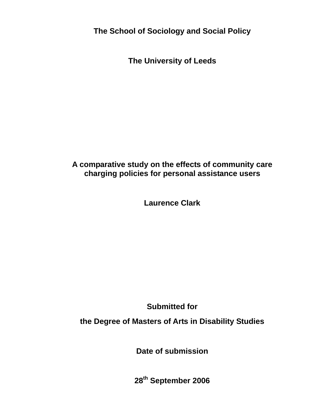**The School of Sociology and Social Policy** 

**The University of Leeds** 

# **A comparative study on the effects of community care charging policies for personal assistance users**

**Laurence Clark** 

**Submitted for** 

**the Degree of Masters of Arts in Disability Studies** 

**Date of submission** 

**28th September 2006**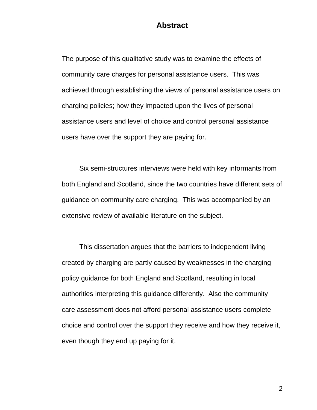# **Abstract**

The purpose of this qualitative study was to examine the effects of community care charges for personal assistance users. This was achieved through establishing the views of personal assistance users on charging policies; how they impacted upon the lives of personal assistance users and level of choice and control personal assistance users have over the support they are paying for.

 Six semi-structures interviews were held with key informants from both England and Scotland, since the two countries have different sets of guidance on community care charging. This was accompanied by an extensive review of available literature on the subject.

 This dissertation argues that the barriers to independent living created by charging are partly caused by weaknesses in the charging policy guidance for both England and Scotland, resulting in local authorities interpreting this guidance differently. Also the community care assessment does not afford personal assistance users complete choice and control over the support they receive and how they receive it, even though they end up paying for it.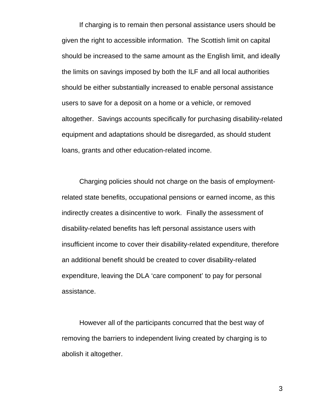If charging is to remain then personal assistance users should be given the right to accessible information. The Scottish limit on capital should be increased to the same amount as the English limit, and ideally the limits on savings imposed by both the ILF and all local authorities should be either substantially increased to enable personal assistance users to save for a deposit on a home or a vehicle, or removed altogether. Savings accounts specifically for purchasing disability-related equipment and adaptations should be disregarded, as should student loans, grants and other education-related income.

 Charging policies should not charge on the basis of employmentrelated state benefits, occupational pensions or earned income, as this indirectly creates a disincentive to work. Finally the assessment of disability-related benefits has left personal assistance users with insufficient income to cover their disability-related expenditure, therefore an additional benefit should be created to cover disability-related expenditure, leaving the DLA 'care component' to pay for personal assistance.

However all of the participants concurred that the best way of removing the barriers to independent living created by charging is to abolish it altogether.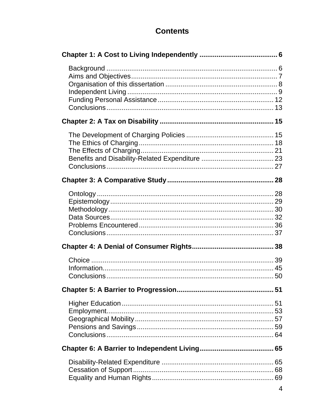# **Contents**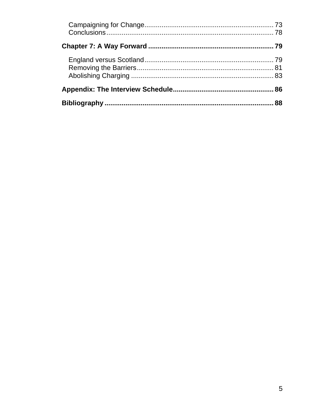| 86 |
|----|
| 88 |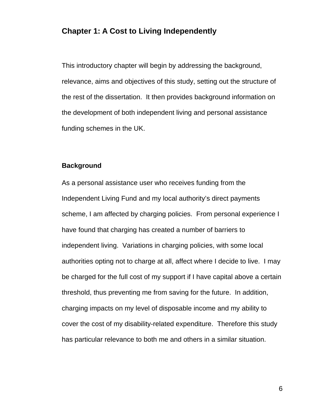# **Chapter 1: A Cost to Living Independently**

This introductory chapter will begin by addressing the background, relevance, aims and objectives of this study, setting out the structure of the rest of the dissertation. It then provides background information on the development of both independent living and personal assistance funding schemes in the UK.

### **Background**

As a personal assistance user who receives funding from the Independent Living Fund and my local authority's direct payments scheme, I am affected by charging policies. From personal experience I have found that charging has created a number of barriers to independent living. Variations in charging policies, with some local authorities opting not to charge at all, affect where I decide to live. I may be charged for the full cost of my support if I have capital above a certain threshold, thus preventing me from saving for the future. In addition, charging impacts on my level of disposable income and my ability to cover the cost of my disability-related expenditure. Therefore this study has particular relevance to both me and others in a similar situation.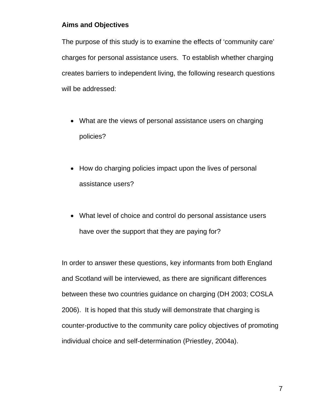# **Aims and Objectives**

The purpose of this study is to examine the effects of 'community care' charges for personal assistance users. To establish whether charging creates barriers to independent living, the following research questions will be addressed:

- What are the views of personal assistance users on charging policies?
- How do charging policies impact upon the lives of personal assistance users?
- What level of choice and control do personal assistance users have over the support that they are paying for?

In order to answer these questions, key informants from both England and Scotland will be interviewed, as there are significant differences between these two countries guidance on charging (DH 2003; COSLA 2006). It is hoped that this study will demonstrate that charging is counter-productive to the community care policy objectives of promoting individual choice and self-determination (Priestley, 2004a).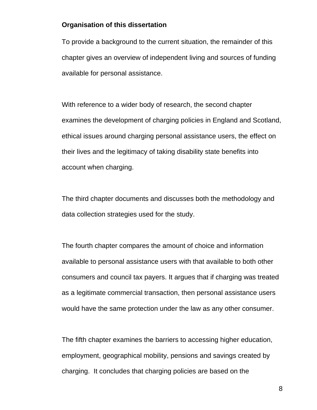## **Organisation of this dissertation**

To provide a background to the current situation, the remainder of this chapter gives an overview of independent living and sources of funding available for personal assistance.

With reference to a wider body of research, the second chapter examines the development of charging policies in England and Scotland, ethical issues around charging personal assistance users, the effect on their lives and the legitimacy of taking disability state benefits into account when charging.

The third chapter documents and discusses both the methodology and data collection strategies used for the study.

The fourth chapter compares the amount of choice and information available to personal assistance users with that available to both other consumers and council tax payers. It argues that if charging was treated as a legitimate commercial transaction, then personal assistance users would have the same protection under the law as any other consumer.

The fifth chapter examines the barriers to accessing higher education, employment, geographical mobility, pensions and savings created by charging. It concludes that charging policies are based on the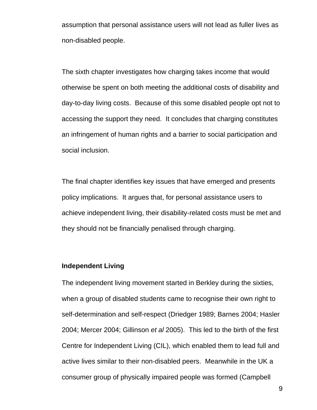assumption that personal assistance users will not lead as fuller lives as non-disabled people.

The sixth chapter investigates how charging takes income that would otherwise be spent on both meeting the additional costs of disability and day-to-day living costs. Because of this some disabled people opt not to accessing the support they need. It concludes that charging constitutes an infringement of human rights and a barrier to social participation and social inclusion.

The final chapter identifies key issues that have emerged and presents policy implications. It argues that, for personal assistance users to achieve independent living, their disability-related costs must be met and they should not be financially penalised through charging.

## **Independent Living**

The independent living movement started in Berkley during the sixties, when a group of disabled students came to recognise their own right to self-determination and self-respect (Driedger 1989; Barnes 2004; Hasler 2004; Mercer 2004; Gillinson *et al* 2005). This led to the birth of the first Centre for Independent Living (CIL), which enabled them to lead full and active lives similar to their non-disabled peers. Meanwhile in the UK a consumer group of physically impaired people was formed (Campbell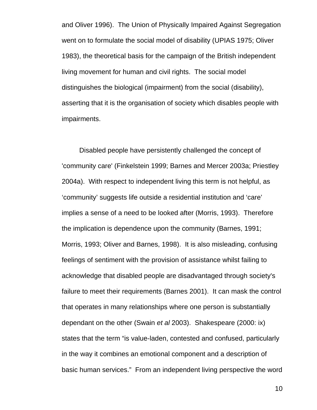and Oliver 1996). The Union of Physically Impaired Against Segregation went on to formulate the social model of disability (UPIAS 1975; Oliver 1983), the theoretical basis for the campaign of the British independent living movement for human and civil rights. The social model distinguishes the biological (impairment) from the social (disability), asserting that it is the organisation of society which disables people with impairments.

Disabled people have persistently challenged the concept of 'community care' (Finkelstein 1999; Barnes and Mercer 2003a; Priestley 2004a). With respect to independent living this term is not helpful, as 'community' suggests life outside a residential institution and 'care' implies a sense of a need to be looked after (Morris, 1993). Therefore the implication is dependence upon the community (Barnes, 1991; Morris, 1993; Oliver and Barnes, 1998). It is also misleading, confusing feelings of sentiment with the provision of assistance whilst failing to acknowledge that disabled people are disadvantaged through society's failure to meet their requirements (Barnes 2001). It can mask the control that operates in many relationships where one person is substantially dependant on the other (Swain *et al* 2003). Shakespeare (2000: ix) states that the term "is value-laden, contested and confused, particularly in the way it combines an emotional component and a description of basic human services." From an independent living perspective the word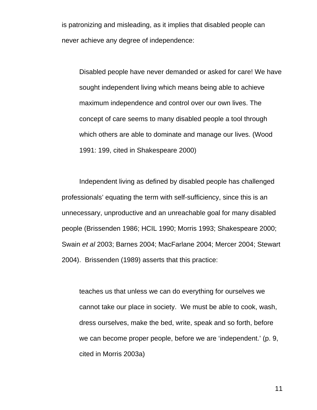is patronizing and misleading, as it implies that disabled people can never achieve any degree of independence:

Disabled people have never demanded or asked for care! We have sought independent living which means being able to achieve maximum independence and control over our own lives. The concept of care seems to many disabled people a tool through which others are able to dominate and manage our lives. (Wood 1991: 199, cited in Shakespeare 2000)

Independent living as defined by disabled people has challenged professionals' equating the term with self-sufficiency, since this is an unnecessary, unproductive and an unreachable goal for many disabled people (Brissenden 1986; HCIL 1990; Morris 1993; Shakespeare 2000; Swain *et al* 2003; Barnes 2004; MacFarlane 2004; Mercer 2004; Stewart 2004). Brissenden (1989) asserts that this practice:

teaches us that unless we can do everything for ourselves we cannot take our place in society. We must be able to cook, wash, dress ourselves, make the bed, write, speak and so forth, before we can become proper people, before we are 'independent.' (p. 9, cited in Morris 2003a)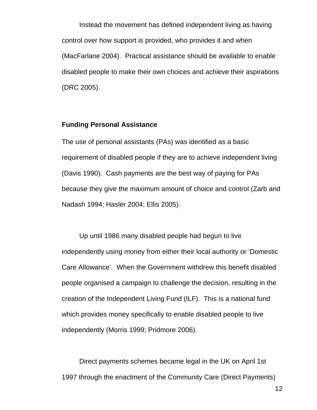Instead the movement has defined independent living as having control over how support is provided, who provides it and when (MacFarlane 2004). Practical assistance should be available to enable disabled people to make their own choices and achieve their aspirations (DRC 2005).

#### **Funding Personal Assistance**

The use of personal assistants (PAs) was identified as a basic requirement of disabled people if they are to achieve independent living (Davis 1990). Cash payments are the best way of paying for PAs because they give the maximum amount of choice and control (Zarb and Nadash 1994; Hasler 2004; Ellis 2005).

Up until 1986 many disabled people had begun to live independently using money from either their local authority or 'Domestic Care Allowance'. When the Government withdrew this benefit disabled people organised a campaign to challenge the decision, resulting in the creation of the Independent Living Fund (ILF). This is a national fund which provides money specifically to enable disabled people to live independently (Morris 1999; Pridmore 2006).

Direct payments schemes became legal in the UK on April 1st 1997 through the enactment of the Community Care (Direct Payments)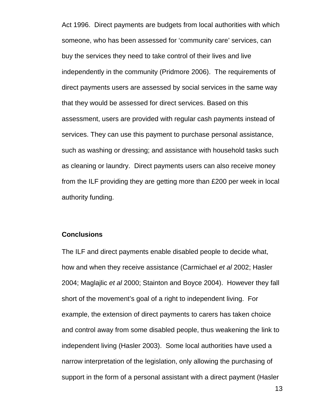Act 1996. Direct payments are budgets from local authorities with which someone, who has been assessed for 'community care' services, can buy the services they need to take control of their lives and live independently in the community (Pridmore 2006). The requirements of direct payments users are assessed by social services in the same way that they would be assessed for direct services. Based on this assessment, users are provided with regular cash payments instead of services. They can use this payment to purchase personal assistance, such as washing or dressing; and assistance with household tasks such as cleaning or laundry. Direct payments users can also receive money from the ILF providing they are getting more than £200 per week in local authority funding.

### **Conclusions**

The ILF and direct payments enable disabled people to decide what, how and when they receive assistance (Carmichael *et al* 2002; Hasler 2004; Maglajlic *et al* 2000; Stainton and Boyce 2004). However they fall short of the movement's goal of a right to independent living. For example, the extension of direct payments to carers has taken choice and control away from some disabled people, thus weakening the link to independent living (Hasler 2003). Some local authorities have used a narrow interpretation of the legislation, only allowing the purchasing of support in the form of a personal assistant with a direct payment (Hasler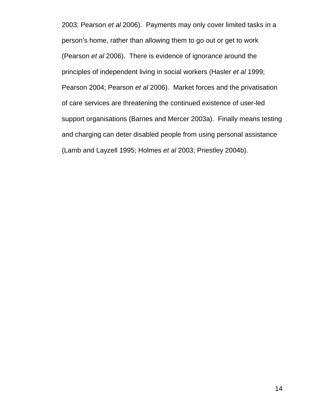2003; Pearson *et al* 2006). Payments may only cover limited tasks in a person's home, rather than allowing them to go out or get to work (Pearson *et al* 2006). There is evidence of ignorance around the principles of independent living in social workers (Hasler *et al* 1999; Pearson 2004; Pearson *et al* 2006). Market forces and the privatisation of care services are threatening the continued existence of user-led support organisations (Barnes and Mercer 2003a). Finally means testing and charging can deter disabled people from using personal assistance (Lamb and Layzell 1995; Holmes *et al* 2003; Priestley 2004b).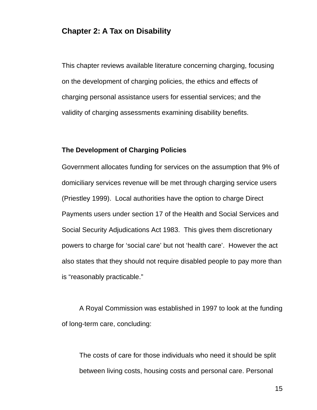# **Chapter 2: A Tax on Disability**

This chapter reviews available literature concerning charging, focusing on the development of charging policies, the ethics and effects of charging personal assistance users for essential services; and the validity of charging assessments examining disability benefits.

#### **The Development of Charging Policies**

Government allocates funding for services on the assumption that 9% of domiciliary services revenue will be met through charging service users (Priestley 1999). Local authorities have the option to charge Direct Payments users under section 17 of the Health and Social Services and Social Security Adjudications Act 1983. This gives them discretionary powers to charge for 'social care' but not 'health care'. However the act also states that they should not require disabled people to pay more than is "reasonably practicable."

A Royal Commission was established in 1997 to look at the funding of long-term care, concluding:

The costs of care for those individuals who need it should be split between living costs, housing costs and personal care. Personal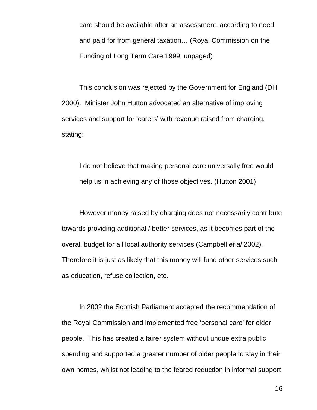care should be available after an assessment, according to need and paid for from general taxation… (Royal Commission on the Funding of Long Term Care 1999: unpaged)

This conclusion was rejected by the Government for England (DH 2000). Minister John Hutton advocated an alternative of improving services and support for 'carers' with revenue raised from charging, stating:

I do not believe that making personal care universally free would help us in achieving any of those objectives. (Hutton 2001)

However money raised by charging does not necessarily contribute towards providing additional / better services, as it becomes part of the overall budget for all local authority services (Campbell *et al* 2002). Therefore it is just as likely that this money will fund other services such as education, refuse collection, etc.

In 2002 the Scottish Parliament accepted the recommendation of the Royal Commission and implemented free 'personal care' for older people. This has created a fairer system without undue extra public spending and supported a greater number of older people to stay in their own homes, whilst not leading to the feared reduction in informal support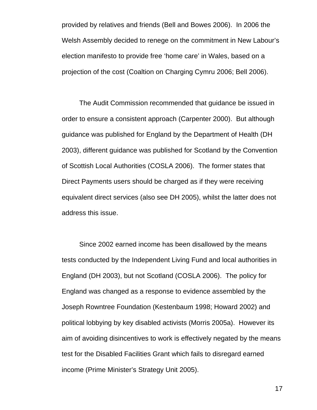provided by relatives and friends (Bell and Bowes 2006). In 2006 the Welsh Assembly decided to renege on the commitment in New Labour's election manifesto to provide free 'home care' in Wales, based on a projection of the cost (Coaltion on Charging Cymru 2006; Bell 2006).

The Audit Commission recommended that guidance be issued in order to ensure a consistent approach (Carpenter 2000). But although guidance was published for England by the Department of Health (DH 2003), different guidance was published for Scotland by the Convention of Scottish Local Authorities (COSLA 2006). The former states that Direct Payments users should be charged as if they were receiving equivalent direct services (also see DH 2005), whilst the latter does not address this issue.

Since 2002 earned income has been disallowed by the means tests conducted by the Independent Living Fund and local authorities in England (DH 2003), but not Scotland (COSLA 2006). The policy for England was changed as a response to evidence assembled by the Joseph Rowntree Foundation (Kestenbaum 1998; Howard 2002) and political lobbying by key disabled activists (Morris 2005a). However its aim of avoiding disincentives to work is effectively negated by the means test for the Disabled Facilities Grant which fails to disregard earned income (Prime Minister's Strategy Unit 2005).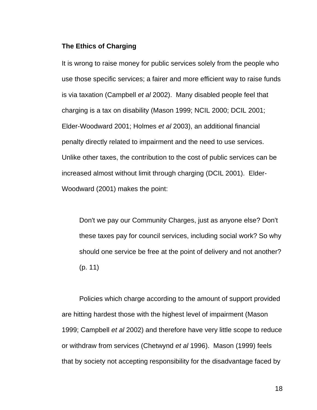### **The Ethics of Charging**

It is wrong to raise money for public services solely from the people who use those specific services; a fairer and more efficient way to raise funds is via taxation (Campbell *et al* 2002). Many disabled people feel that charging is a tax on disability (Mason 1999; NCIL 2000; DCIL 2001; Elder-Woodward 2001; Holmes *et al* 2003), an additional financial penalty directly related to impairment and the need to use services. Unlike other taxes, the contribution to the cost of public services can be increased almost without limit through charging (DCIL 2001). Elder-Woodward (2001) makes the point:

Don't we pay our Community Charges, just as anyone else? Don't these taxes pay for council services, including social work? So why should one service be free at the point of delivery and not another? (p. 11)

Policies which charge according to the amount of support provided are hitting hardest those with the highest level of impairment (Mason 1999; Campbell *et al* 2002) and therefore have very little scope to reduce or withdraw from services (Chetwynd *et al* 1996). Mason (1999) feels that by society not accepting responsibility for the disadvantage faced by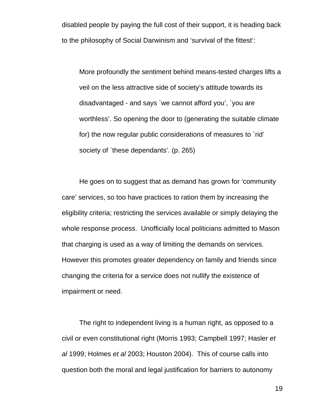disabled people by paying the full cost of their support, it is heading back to the philosophy of Social Darwinism and 'survival of the fittest':

More profoundly the sentiment behind means-tested charges lifts a veil on the less attractive side of society's attitude towards its disadvantaged - and says `we cannot afford you', `you are worthless'. So opening the door to (generating the suitable climate for) the now regular public considerations of measures to `rid' society of `these dependants'. (p. 265)

He goes on to suggest that as demand has grown for 'community care' services, so too have practices to ration them by increasing the eligibility criteria; restricting the services available or simply delaying the whole response process. Unofficially local politicians admitted to Mason that charging is used as a way of limiting the demands on services. However this promotes greater dependency on family and friends since changing the criteria for a service does not nullify the existence of impairment or need.

The right to independent living is a human right, as opposed to a civil or even constitutional right (Morris 1993; Campbell 1997; Hasler *et al* 1999; Holmes *et al* 2003; Houston 2004). This of course calls into question both the moral and legal justification for barriers to autonomy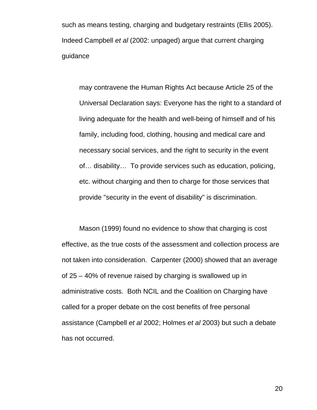such as means testing, charging and budgetary restraints (Ellis 2005). Indeed Campbell *et al* (2002: unpaged) argue that current charging guidance

may contravene the Human Rights Act because Article 25 of the Universal Declaration says: Everyone has the right to a standard of living adequate for the health and well-being of himself and of his family, including food, clothing, housing and medical care and necessary social services, and the right to security in the event of… disability… To provide services such as education, policing, etc. without charging and then to charge for those services that provide "security in the event of disability" is discrimination.

Mason (1999) found no evidence to show that charging is cost effective, as the true costs of the assessment and collection process are not taken into consideration. Carpenter (2000) showed that an average of 25 – 40% of revenue raised by charging is swallowed up in administrative costs. Both NCIL and the Coalition on Charging have called for a proper debate on the cost benefits of free personal assistance (Campbell *et al* 2002; Holmes *et al* 2003) but such a debate has not occurred.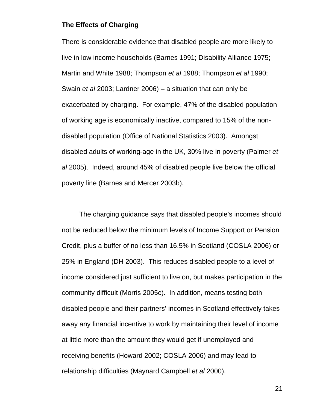#### **The Effects of Charging**

There is considerable evidence that disabled people are more likely to live in low income households (Barnes 1991; Disability Alliance 1975; Martin and White 1988; Thompson *et al* 1988; Thompson *et al* 1990; Swain *et al* 2003; Lardner 2006) – a situation that can only be exacerbated by charging. For example, 47% of the disabled population of working age is economically inactive, compared to 15% of the nondisabled population (Office of National Statistics 2003). Amongst disabled adults of working-age in the UK, 30% live in poverty (Palmer *et al* 2005). Indeed, around 45% of disabled people live below the official poverty line (Barnes and Mercer 2003b).

The charging guidance says that disabled people's incomes should not be reduced below the minimum levels of Income Support or Pension Credit, plus a buffer of no less than 16.5% in Scotland (COSLA 2006) or 25% in England (DH 2003). This reduces disabled people to a level of income considered just sufficient to live on, but makes participation in the community difficult (Morris 2005c). In addition, means testing both disabled people and their partners' incomes in Scotland effectively takes away any financial incentive to work by maintaining their level of income at little more than the amount they would get if unemployed and receiving benefits (Howard 2002; COSLA 2006) and may lead to relationship difficulties (Maynard Campbell *et al* 2000).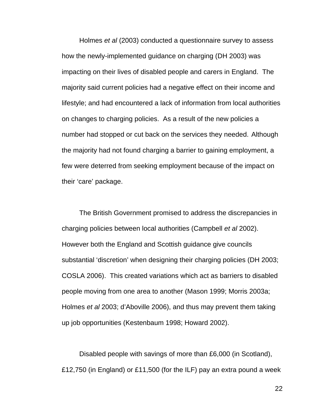Holmes *et al* (2003) conducted a questionnaire survey to assess how the newly-implemented guidance on charging (DH 2003) was impacting on their lives of disabled people and carers in England. The majority said current policies had a negative effect on their income and lifestyle; and had encountered a lack of information from local authorities on changes to charging policies. As a result of the new policies a number had stopped or cut back on the services they needed. Although the majority had not found charging a barrier to gaining employment, a few were deterred from seeking employment because of the impact on their 'care' package.

The British Government promised to address the discrepancies in charging policies between local authorities (Campbell *et al* 2002). However both the England and Scottish guidance give councils substantial 'discretion' when designing their charging policies (DH 2003; COSLA 2006). This created variations which act as barriers to disabled people moving from one area to another (Mason 1999; Morris 2003a; Holmes *et al* 2003; d'Aboville 2006), and thus may prevent them taking up job opportunities (Kestenbaum 1998; Howard 2002).

Disabled people with savings of more than £6,000 (in Scotland), £12,750 (in England) or £11,500 (for the ILF) pay an extra pound a week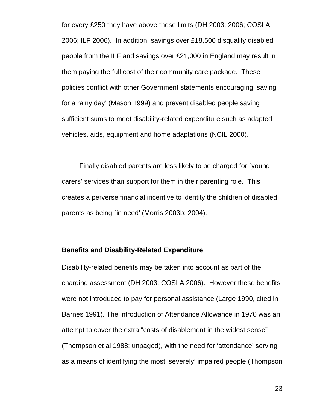for every £250 they have above these limits (DH 2003; 2006; COSLA 2006; ILF 2006). In addition, savings over £18,500 disqualify disabled people from the ILF and savings over £21,000 in England may result in them paying the full cost of their community care package. These policies conflict with other Government statements encouraging 'saving for a rainy day' (Mason 1999) and prevent disabled people saving sufficient sums to meet disability-related expenditure such as adapted vehicles, aids, equipment and home adaptations (NCIL 2000).

Finally disabled parents are less likely to be charged for `young carers' services than support for them in their parenting role. This creates a perverse financial incentive to identity the children of disabled parents as being `in need' (Morris 2003b; 2004).

#### **Benefits and Disability-Related Expenditure**

Disability-related benefits may be taken into account as part of the charging assessment (DH 2003; COSLA 2006). However these benefits were not introduced to pay for personal assistance (Large 1990, cited in Barnes 1991). The introduction of Attendance Allowance in 1970 was an attempt to cover the extra "costs of disablement in the widest sense" (Thompson et al 1988: unpaged), with the need for 'attendance' serving as a means of identifying the most 'severely' impaired people (Thompson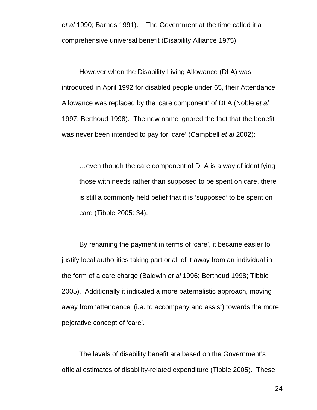*et al* 1990; Barnes 1991). The Government at the time called it a comprehensive universal benefit (Disability Alliance 1975).

However when the Disability Living Allowance (DLA) was introduced in April 1992 for disabled people under 65, their Attendance Allowance was replaced by the 'care component' of DLA (Noble *et al* 1997; Berthoud 1998). The new name ignored the fact that the benefit was never been intended to pay for 'care' (Campbell *et al* 2002):

…even though the care component of DLA is a way of identifying those with needs rather than supposed to be spent on care, there is still a commonly held belief that it is 'supposed' to be spent on care (Tibble 2005: 34).

By renaming the payment in terms of 'care', it became easier to justify local authorities taking part or all of it away from an individual in the form of a care charge (Baldwin *et al* 1996; Berthoud 1998; Tibble 2005). Additionally it indicated a more paternalistic approach, moving away from 'attendance' (i.e. to accompany and assist) towards the more pejorative concept of 'care'.

The levels of disability benefit are based on the Government's official estimates of disability-related expenditure (Tibble 2005). These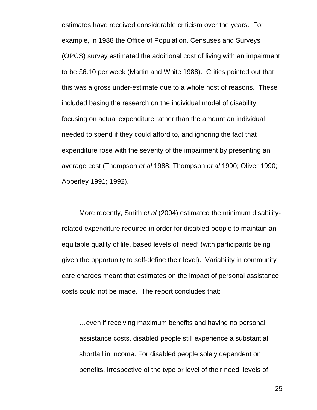estimates have received considerable criticism over the years. For example, in 1988 the Office of Population, Censuses and Surveys (OPCS) survey estimated the additional cost of living with an impairment to be £6.10 per week (Martin and White 1988). Critics pointed out that this was a gross under-estimate due to a whole host of reasons. These included basing the research on the individual model of disability, focusing on actual expenditure rather than the amount an individual needed to spend if they could afford to, and ignoring the fact that expenditure rose with the severity of the impairment by presenting an average cost (Thompson *et al* 1988; Thompson *et al* 1990; Oliver 1990; Abberley 1991; 1992).

More recently, Smith *et al* (2004) estimated the minimum disabilityrelated expenditure required in order for disabled people to maintain an equitable quality of life, based levels of 'need' (with participants being given the opportunity to self-define their level). Variability in community care charges meant that estimates on the impact of personal assistance costs could not be made. The report concludes that:

…even if receiving maximum benefits and having no personal assistance costs, disabled people still experience a substantial shortfall in income. For disabled people solely dependent on benefits, irrespective of the type or level of their need, levels of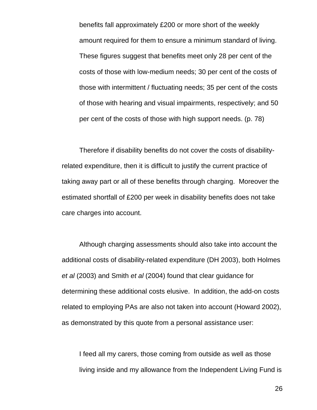benefits fall approximately £200 or more short of the weekly amount required for them to ensure a minimum standard of living. These figures suggest that benefits meet only 28 per cent of the costs of those with low-medium needs; 30 per cent of the costs of those with intermittent / fluctuating needs; 35 per cent of the costs of those with hearing and visual impairments, respectively; and 50 per cent of the costs of those with high support needs. (p. 78)

Therefore if disability benefits do not cover the costs of disabilityrelated expenditure, then it is difficult to justify the current practice of taking away part or all of these benefits through charging. Moreover the estimated shortfall of £200 per week in disability benefits does not take care charges into account.

Although charging assessments should also take into account the additional costs of disability-related expenditure (DH 2003), both Holmes *et al* (2003) and Smith *et al* (2004) found that clear guidance for determining these additional costs elusive. In addition, the add-on costs related to employing PAs are also not taken into account (Howard 2002), as demonstrated by this quote from a personal assistance user:

I feed all my carers, those coming from outside as well as those living inside and my allowance from the Independent Living Fund is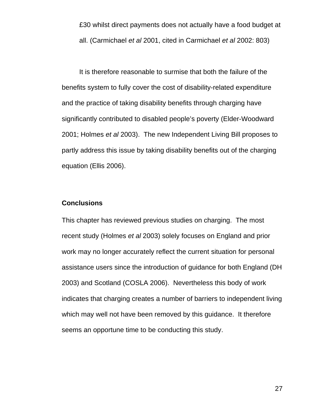£30 whilst direct payments does not actually have a food budget at all. (Carmichael *et al* 2001, cited in Carmichael *et al* 2002: 803)

It is therefore reasonable to surmise that both the failure of the benefits system to fully cover the cost of disability-related expenditure and the practice of taking disability benefits through charging have significantly contributed to disabled people's poverty (Elder-Woodward 2001; Holmes *et al* 2003). The new Independent Living Bill proposes to partly address this issue by taking disability benefits out of the charging equation (Ellis 2006).

### **Conclusions**

This chapter has reviewed previous studies on charging. The most recent study (Holmes *et al* 2003) solely focuses on England and prior work may no longer accurately reflect the current situation for personal assistance users since the introduction of guidance for both England (DH 2003) and Scotland (COSLA 2006). Nevertheless this body of work indicates that charging creates a number of barriers to independent living which may well not have been removed by this guidance. It therefore seems an opportune time to be conducting this study.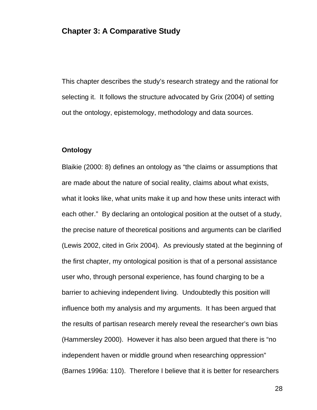# **Chapter 3: A Comparative Study**

This chapter describes the study's research strategy and the rational for selecting it. It follows the structure advocated by Grix (2004) of setting out the ontology, epistemology, methodology and data sources.

#### **Ontology**

Blaikie (2000: 8) defines an ontology as "the claims or assumptions that are made about the nature of social reality, claims about what exists, what it looks like, what units make it up and how these units interact with each other." By declaring an ontological position at the outset of a study, the precise nature of theoretical positions and arguments can be clarified (Lewis 2002, cited in Grix 2004). As previously stated at the beginning of the first chapter, my ontological position is that of a personal assistance user who, through personal experience, has found charging to be a barrier to achieving independent living. Undoubtedly this position will influence both my analysis and my arguments. It has been argued that the results of partisan research merely reveal the researcher's own bias (Hammersley 2000). However it has also been argued that there is "no independent haven or middle ground when researching oppression" (Barnes 1996a: 110). Therefore I believe that it is better for researchers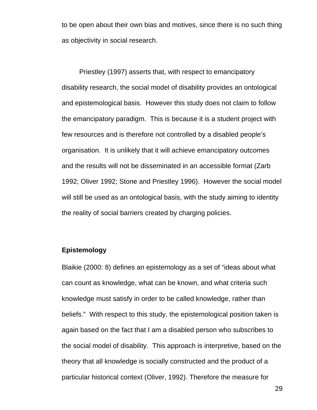to be open about their own bias and motives, since there is no such thing as objectivity in social research.

Priestley (1997) asserts that, with respect to emancipatory disability research, the social model of disability provides an ontological and epistemological basis. However this study does not claim to follow the emancipatory paradigm. This is because it is a student project with few resources and is therefore not controlled by a disabled people's organisation. It is unlikely that it will achieve emancipatory outcomes and the results will not be disseminated in an accessible format (Zarb 1992; Oliver 1992; Stone and Priestley 1996). However the social model will still be used as an ontological basis, with the study aiming to identity the reality of social barriers created by charging policies.

#### **Epistemology**

Blaikie (2000: 8) defines an epistemology as a set of "ideas about what can count as knowledge, what can be known, and what criteria such knowledge must satisfy in order to be called knowledge, rather than beliefs." With respect to this study, the epistemological position taken is again based on the fact that I am a disabled person who subscribes to the social model of disability. This approach is interpretive, based on the theory that all knowledge is socially constructed and the product of a particular historical context (Oliver, 1992). Therefore the measure for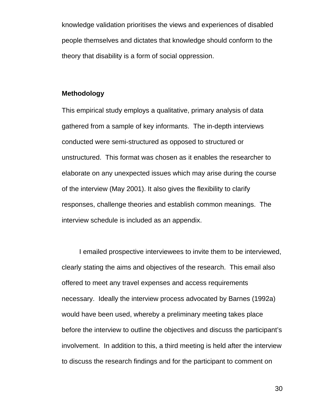knowledge validation prioritises the views and experiences of disabled people themselves and dictates that knowledge should conform to the theory that disability is a form of social oppression.

#### **Methodology**

This empirical study employs a qualitative, primary analysis of data gathered from a sample of key informants. The in-depth interviews conducted were semi-structured as opposed to structured or unstructured. This format was chosen as it enables the researcher to elaborate on any unexpected issues which may arise during the course of the interview (May 2001). It also gives the flexibility to clarify responses, challenge theories and establish common meanings. The interview schedule is included as an appendix.

I emailed prospective interviewees to invite them to be interviewed, clearly stating the aims and objectives of the research. This email also offered to meet any travel expenses and access requirements necessary. Ideally the interview process advocated by Barnes (1992a) would have been used, whereby a preliminary meeting takes place before the interview to outline the objectives and discuss the participant's involvement. In addition to this, a third meeting is held after the interview to discuss the research findings and for the participant to comment on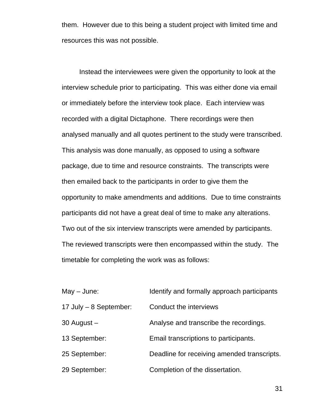them. However due to this being a student project with limited time and resources this was not possible.

Instead the interviewees were given the opportunity to look at the interview schedule prior to participating. This was either done via email or immediately before the interview took place. Each interview was recorded with a digital Dictaphone. There recordings were then analysed manually and all quotes pertinent to the study were transcribed. This analysis was done manually, as opposed to using a software package, due to time and resource constraints. The transcripts were then emailed back to the participants in order to give them the opportunity to make amendments and additions. Due to time constraints participants did not have a great deal of time to make any alterations. Two out of the six interview transcripts were amended by participants. The reviewed transcripts were then encompassed within the study. The timetable for completing the work was as follows:

| $May - June:$            | Identify and formally approach participants |
|--------------------------|---------------------------------------------|
| 17 July $-$ 8 September: | Conduct the interviews                      |
| $30$ August $-$          | Analyse and transcribe the recordings.      |
| 13 September:            | Email transcriptions to participants.       |
| 25 September:            | Deadline for receiving amended transcripts. |
| 29 September:            | Completion of the dissertation.             |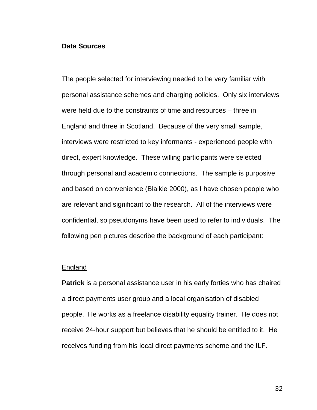#### **Data Sources**

The people selected for interviewing needed to be very familiar with personal assistance schemes and charging policies. Only six interviews were held due to the constraints of time and resources – three in England and three in Scotland. Because of the very small sample, interviews were restricted to key informants - experienced people with direct, expert knowledge. These willing participants were selected through personal and academic connections. The sample is purposive and based on convenience (Blaikie 2000), as I have chosen people who are relevant and significant to the research. All of the interviews were confidential, so pseudonyms have been used to refer to individuals. The following pen pictures describe the background of each participant:

#### England

**Patrick** is a personal assistance user in his early forties who has chaired a direct payments user group and a local organisation of disabled people. He works as a freelance disability equality trainer. He does not receive 24-hour support but believes that he should be entitled to it. He receives funding from his local direct payments scheme and the ILF.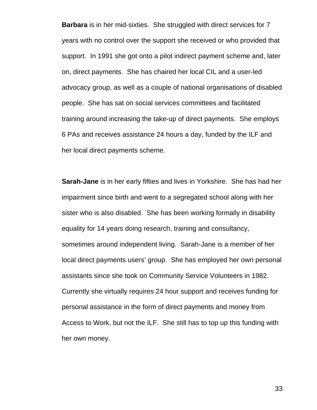**Barbara** is in her mid-sixties. She struggled with direct services for 7 years with no control over the support she received or who provided that support. In 1991 she got onto a pilot indirect payment scheme and, later on, direct payments. She has chaired her local CIL and a user-led advocacy group, as well as a couple of national organisations of disabled people. She has sat on social services committees and facilitated training around increasing the take-up of direct payments. She employs 6 PAs and receives assistance 24 hours a day, funded by the ILF and her local direct payments scheme.

**Sarah-Jane** is in her early fifties and lives in Yorkshire. She has had her impairment since birth and went to a segregated school along with her sister who is also disabled. She has been working formally in disability equality for 14 years doing research, training and consultancy, sometimes around independent living. Sarah-Jane is a member of her local direct payments users' group. She has employed her own personal assistants since she took on Community Service Volunteers in 1982. Currently she virtually requires 24 hour support and receives funding for personal assistance in the form of direct payments and money from Access to Work, but not the ILF. She still has to top up this funding with her own money.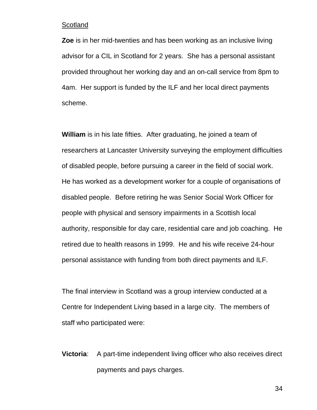#### **Scotland**

**Zoe** is in her mid-twenties and has been working as an inclusive living advisor for a CIL in Scotland for 2 years. She has a personal assistant provided throughout her working day and an on-call service from 8pm to 4am. Her support is funded by the ILF and her local direct payments scheme.

**William** is in his late fifties. After graduating, he joined a team of researchers at Lancaster University surveying the employment difficulties of disabled people, before pursuing a career in the field of social work. He has worked as a development worker for a couple of organisations of disabled people. Before retiring he was Senior Social Work Officer for people with physical and sensory impairments in a Scottish local authority, responsible for day care, residential care and job coaching. He retired due to health reasons in 1999. He and his wife receive 24-hour personal assistance with funding from both direct payments and ILF.

The final interview in Scotland was a group interview conducted at a Centre for Independent Living based in a large city. The members of staff who participated were:

**Victoria:** A part-time independent living officer who also receives direct payments and pays charges.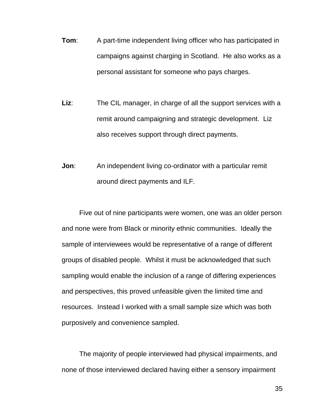- **Tom:** A part-time independent living officer who has participated in campaigns against charging in Scotland. He also works as a personal assistant for someone who pays charges.
- Liz: The CIL manager, in charge of all the support services with a remit around campaigning and strategic development. Liz also receives support through direct payments.
- **Jon:** An independent living co-ordinator with a particular remit around direct payments and ILF.

Five out of nine participants were women, one was an older person and none were from Black or minority ethnic communities. Ideally the sample of interviewees would be representative of a range of different groups of disabled people. Whilst it must be acknowledged that such sampling would enable the inclusion of a range of differing experiences and perspectives, this proved unfeasible given the limited time and resources. Instead I worked with a small sample size which was both purposively and convenience sampled.

 The majority of people interviewed had physical impairments, and none of those interviewed declared having either a sensory impairment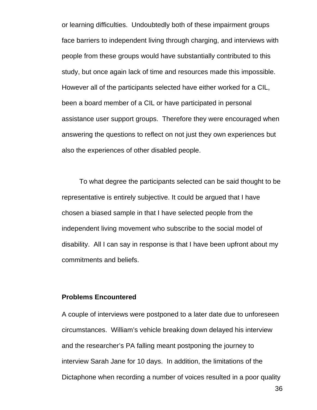or learning difficulties. Undoubtedly both of these impairment groups face barriers to independent living through charging, and interviews with people from these groups would have substantially contributed to this study, but once again lack of time and resources made this impossible. However all of the participants selected have either worked for a CIL, been a board member of a CIL or have participated in personal assistance user support groups. Therefore they were encouraged when answering the questions to reflect on not just they own experiences but also the experiences of other disabled people.

To what degree the participants selected can be said thought to be representative is entirely subjective. It could be argued that I have chosen a biased sample in that I have selected people from the independent living movement who subscribe to the social model of disability. All I can say in response is that I have been upfront about my commitments and beliefs.

### **Problems Encountered**

A couple of interviews were postponed to a later date due to unforeseen circumstances. William's vehicle breaking down delayed his interview and the researcher's PA falling meant postponing the journey to interview Sarah Jane for 10 days. In addition, the limitations of the Dictaphone when recording a number of voices resulted in a poor quality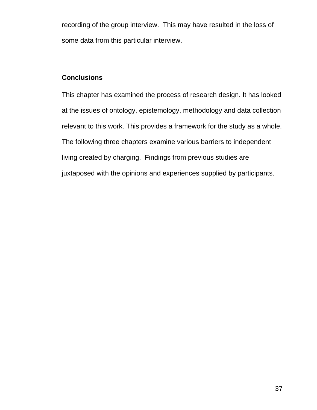recording of the group interview. This may have resulted in the loss of some data from this particular interview.

# **Conclusions**

This chapter has examined the process of research design. It has looked at the issues of ontology, epistemology, methodology and data collection relevant to this work. This provides a framework for the study as a whole. The following three chapters examine various barriers to independent living created by charging. Findings from previous studies are juxtaposed with the opinions and experiences supplied by participants.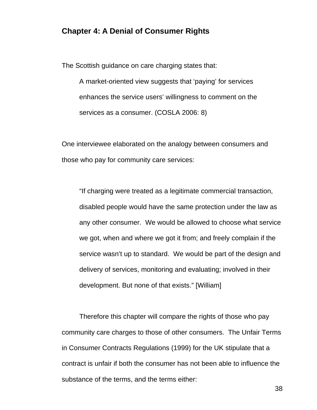## **Chapter 4: A Denial of Consumer Rights**

The Scottish guidance on care charging states that:

A market-oriented view suggests that 'paying' for services enhances the service users' willingness to comment on the services as a consumer. (COSLA 2006: 8)

One interviewee elaborated on the analogy between consumers and those who pay for community care services:

"If charging were treated as a legitimate commercial transaction, disabled people would have the same protection under the law as any other consumer. We would be allowed to choose what service we got, when and where we got it from; and freely complain if the service wasn't up to standard. We would be part of the design and delivery of services, monitoring and evaluating; involved in their development. But none of that exists." [William]

Therefore this chapter will compare the rights of those who pay community care charges to those of other consumers. The Unfair Terms in Consumer Contracts Regulations (1999) for the UK stipulate that a contract is unfair if both the consumer has not been able to influence the substance of the terms, and the terms either: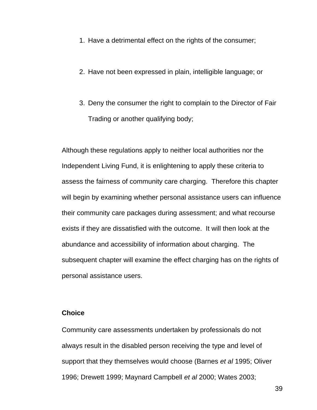- 1. Have a detrimental effect on the rights of the consumer;
- 2. Have not been expressed in plain, intelligible language; or
- 3. Deny the consumer the right to complain to the Director of Fair Trading or another qualifying body;

Although these regulations apply to neither local authorities nor the Independent Living Fund, it is enlightening to apply these criteria to assess the fairness of community care charging. Therefore this chapter will begin by examining whether personal assistance users can influence their community care packages during assessment; and what recourse exists if they are dissatisfied with the outcome. It will then look at the abundance and accessibility of information about charging. The subsequent chapter will examine the effect charging has on the rights of personal assistance users.

#### **Choice**

Community care assessments undertaken by professionals do not always result in the disabled person receiving the type and level of support that they themselves would choose (Barnes *et al* 1995; Oliver 1996; Drewett 1999; Maynard Campbell *et al* 2000; Wates 2003;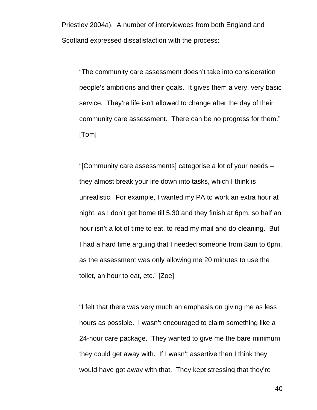Priestley 2004a). A number of interviewees from both England and Scotland expressed dissatisfaction with the process:

"The community care assessment doesn't take into consideration people's ambitions and their goals. It gives them a very, very basic service. They're life isn't allowed to change after the day of their community care assessment. There can be no progress for them." [Tom]

"[Community care assessments] categorise a lot of your needs – they almost break your life down into tasks, which I think is unrealistic. For example, I wanted my PA to work an extra hour at night, as I don't get home till 5.30 and they finish at 6pm, so half an hour isn't a lot of time to eat, to read my mail and do cleaning. But I had a hard time arguing that I needed someone from 8am to 6pm, as the assessment was only allowing me 20 minutes to use the toilet, an hour to eat, etc." [Zoe]

"I felt that there was very much an emphasis on giving me as less hours as possible. I wasn't encouraged to claim something like a 24-hour care package. They wanted to give me the bare minimum they could get away with. If I wasn't assertive then I think they would have got away with that. They kept stressing that they're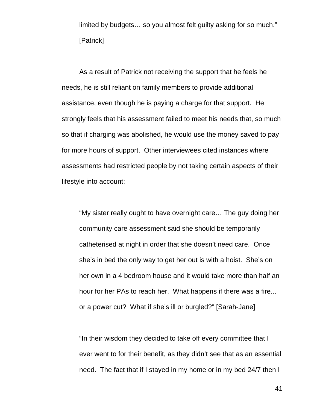limited by budgets… so you almost felt guilty asking for so much." [Patrick]

 As a result of Patrick not receiving the support that he feels he needs, he is still reliant on family members to provide additional assistance, even though he is paying a charge for that support. He strongly feels that his assessment failed to meet his needs that, so much so that if charging was abolished, he would use the money saved to pay for more hours of support. Other interviewees cited instances where assessments had restricted people by not taking certain aspects of their lifestyle into account:

"My sister really ought to have overnight care… The guy doing her community care assessment said she should be temporarily catheterised at night in order that she doesn't need care. Once she's in bed the only way to get her out is with a hoist. She's on her own in a 4 bedroom house and it would take more than half an hour for her PAs to reach her. What happens if there was a fire... or a power cut? What if she's ill or burgled?" [Sarah-Jane]

"In their wisdom they decided to take off every committee that I ever went to for their benefit, as they didn't see that as an essential need. The fact that if I stayed in my home or in my bed 24/7 then I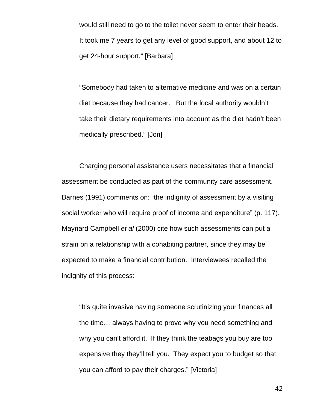would still need to go to the toilet never seem to enter their heads. It took me 7 years to get any level of good support, and about 12 to get 24-hour support." [Barbara]

"Somebody had taken to alternative medicine and was on a certain diet because they had cancer. But the local authority wouldn't take their dietary requirements into account as the diet hadn't been medically prescribed." [Jon]

 Charging personal assistance users necessitates that a financial assessment be conducted as part of the community care assessment. Barnes (1991) comments on: "the indignity of assessment by a visiting social worker who will require proof of income and expenditure" (p. 117). Maynard Campbell *et al* (2000) cite how such assessments can put a strain on a relationship with a cohabiting partner, since they may be expected to make a financial contribution. Interviewees recalled the indignity of this process:

"It's quite invasive having someone scrutinizing your finances all the time… always having to prove why you need something and why you can't afford it. If they think the teabags you buy are too expensive they they'll tell you. They expect you to budget so that you can afford to pay their charges." [Victoria]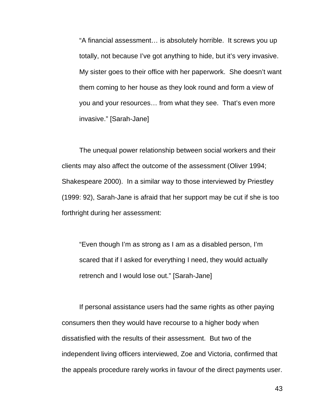"A financial assessment… is absolutely horrible. It screws you up totally, not because I've got anything to hide, but it's very invasive. My sister goes to their office with her paperwork. She doesn't want them coming to her house as they look round and form a view of you and your resources… from what they see. That's even more invasive." [Sarah-Jane]

 The unequal power relationship between social workers and their clients may also affect the outcome of the assessment (Oliver 1994; Shakespeare 2000). In a similar way to those interviewed by Priestley (1999: 92), Sarah-Jane is afraid that her support may be cut if she is too forthright during her assessment:

"Even though I'm as strong as I am as a disabled person, I'm scared that if I asked for everything I need, they would actually retrench and I would lose out." [Sarah-Jane]

If personal assistance users had the same rights as other paying consumers then they would have recourse to a higher body when dissatisfied with the results of their assessment. But two of the independent living officers interviewed, Zoe and Victoria, confirmed that the appeals procedure rarely works in favour of the direct payments user.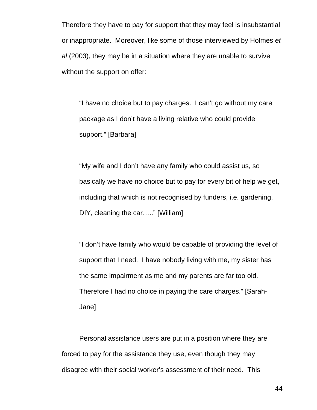Therefore they have to pay for support that they may feel is insubstantial or inappropriate. Moreover, like some of those interviewed by Holmes *et al* (2003), they may be in a situation where they are unable to survive without the support on offer:

"I have no choice but to pay charges. I can't go without my care package as I don't have a living relative who could provide support." [Barbara]

"My wife and I don't have any family who could assist us, so basically we have no choice but to pay for every bit of help we get, including that which is not recognised by funders, i.e. gardening, DIY, cleaning the car….." [William]

"I don't have family who would be capable of providing the level of support that I need. I have nobody living with me, my sister has the same impairment as me and my parents are far too old. Therefore I had no choice in paying the care charges." [Sarah-Jane]

 Personal assistance users are put in a position where they are forced to pay for the assistance they use, even though they may disagree with their social worker's assessment of their need. This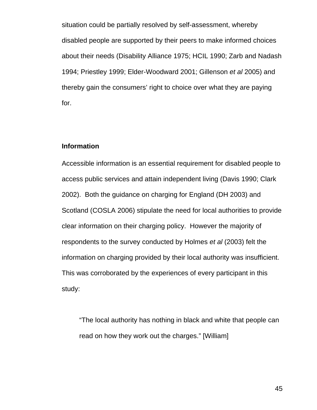situation could be partially resolved by self-assessment, whereby disabled people are supported by their peers to make informed choices about their needs (Disability Alliance 1975; HCIL 1990; Zarb and Nadash 1994; Priestley 1999; Elder-Woodward 2001; Gillenson *et al* 2005) and thereby gain the consumers' right to choice over what they are paying for.

### **Information**

Accessible information is an essential requirement for disabled people to access public services and attain independent living (Davis 1990; Clark 2002). Both the guidance on charging for England (DH 2003) and Scotland (COSLA 2006) stipulate the need for local authorities to provide clear information on their charging policy. However the majority of respondents to the survey conducted by Holmes *et al* (2003) felt the information on charging provided by their local authority was insufficient. This was corroborated by the experiences of every participant in this study:

"The local authority has nothing in black and white that people can read on how they work out the charges." [William]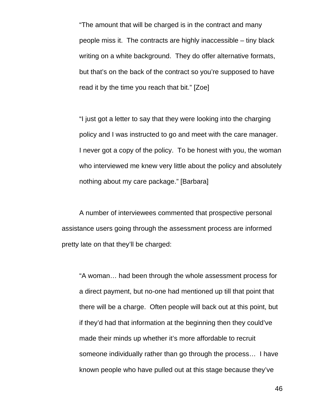"The amount that will be charged is in the contract and many people miss it. The contracts are highly inaccessible – tiny black writing on a white background. They do offer alternative formats, but that's on the back of the contract so you're supposed to have read it by the time you reach that bit." [Zoe]

"I just got a letter to say that they were looking into the charging policy and I was instructed to go and meet with the care manager. I never got a copy of the policy. To be honest with you, the woman who interviewed me knew very little about the policy and absolutely nothing about my care package." [Barbara]

A number of interviewees commented that prospective personal assistance users going through the assessment process are informed pretty late on that they'll be charged:

"A woman… had been through the whole assessment process for a direct payment, but no-one had mentioned up till that point that there will be a charge. Often people will back out at this point, but if they'd had that information at the beginning then they could've made their minds up whether it's more affordable to recruit someone individually rather than go through the process… I have known people who have pulled out at this stage because they've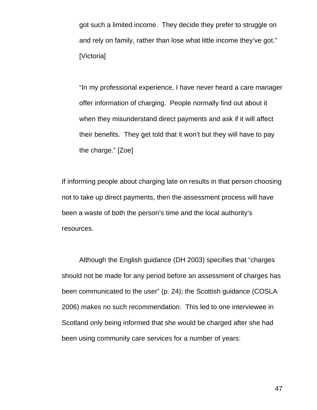got such a limited income. They decide they prefer to struggle on and rely on family, rather than lose what little income they've got." [Victoria]

"In my professional experience, I have never heard a care manager offer information of charging. People normally find out about it when they misunderstand direct payments and ask if it will affect their benefits. They get told that it won't but they will have to pay the charge." [Zoe]

If informing people about charging late on results in that person choosing not to take up direct payments, then the assessment process will have been a waste of both the person's time and the local authority's resources.

Although the English guidance (DH 2003) specifies that "charges should not be made for any period before an assessment of charges has been communicated to the user" (p. 24); the Scottish guidance (COSLA 2006) makes no such recommendation. This led to one interviewee in Scotland only being informed that she would be charged after she had been using community care services for a number of years: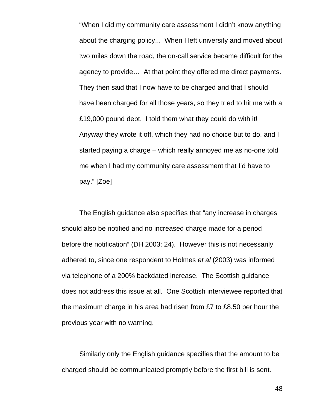"When I did my community care assessment I didn't know anything about the charging policy... When I left university and moved about two miles down the road, the on-call service became difficult for the agency to provide… At that point they offered me direct payments. They then said that I now have to be charged and that I should have been charged for all those years, so they tried to hit me with a £19,000 pound debt. I told them what they could do with it! Anyway they wrote it off, which they had no choice but to do, and I started paying a charge – which really annoyed me as no-one told me when I had my community care assessment that I'd have to pay." [Zoe]

 The English guidance also specifies that "any increase in charges should also be notified and no increased charge made for a period before the notification" (DH 2003: 24). However this is not necessarily adhered to, since one respondent to Holmes *et al* (2003) was informed via telephone of a 200% backdated increase. The Scottish guidance does not address this issue at all. One Scottish interviewee reported that the maximum charge in his area had risen from £7 to £8.50 per hour the previous year with no warning.

Similarly only the English guidance specifies that the amount to be charged should be communicated promptly before the first bill is sent.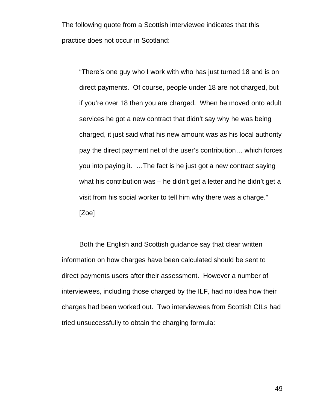The following quote from a Scottish interviewee indicates that this practice does not occur in Scotland:

"There's one guy who I work with who has just turned 18 and is on direct payments. Of course, people under 18 are not charged, but if you're over 18 then you are charged. When he moved onto adult services he got a new contract that didn't say why he was being charged, it just said what his new amount was as his local authority pay the direct payment net of the user's contribution… which forces you into paying it. …The fact is he just got a new contract saying what his contribution was – he didn't get a letter and he didn't get a visit from his social worker to tell him why there was a charge." [Zoe]

Both the English and Scottish guidance say that clear written information on how charges have been calculated should be sent to direct payments users after their assessment. However a number of interviewees, including those charged by the ILF, had no idea how their charges had been worked out. Two interviewees from Scottish CILs had tried unsuccessfully to obtain the charging formula: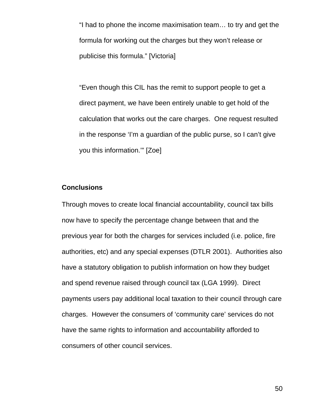"I had to phone the income maximisation team… to try and get the formula for working out the charges but they won't release or publicise this formula." [Victoria]

"Even though this CIL has the remit to support people to get a direct payment, we have been entirely unable to get hold of the calculation that works out the care charges. One request resulted in the response 'I'm a guardian of the public purse, so I can't give you this information.'" [Zoe]

# **Conclusions**

Through moves to create local financial accountability, council tax bills now have to specify the percentage change between that and the previous year for both the charges for services included (i.e. police, fire authorities, etc) and any special expenses (DTLR 2001). Authorities also have a statutory obligation to publish information on how they budget and spend revenue raised through council tax (LGA 1999). Direct payments users pay additional local taxation to their council through care charges. However the consumers of 'community care' services do not have the same rights to information and accountability afforded to consumers of other council services.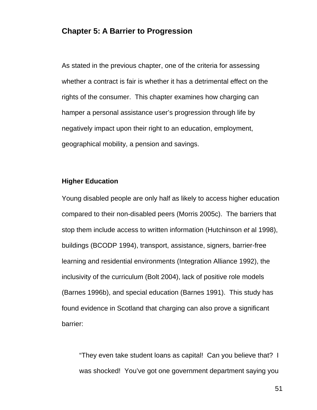# **Chapter 5: A Barrier to Progression**

As stated in the previous chapter, one of the criteria for assessing whether a contract is fair is whether it has a detrimental effect on the rights of the consumer. This chapter examines how charging can hamper a personal assistance user's progression through life by negatively impact upon their right to an education, employment, geographical mobility, a pension and savings.

## **Higher Education**

Young disabled people are only half as likely to access higher education compared to their non-disabled peers (Morris 2005c). The barriers that stop them include access to written information (Hutchinson *et* al 1998), buildings (BCODP 1994), transport, assistance, signers, barrier-free learning and residential environments (Integration Alliance 1992), the inclusivity of the curriculum (Bolt 2004), lack of positive role models (Barnes 1996b), and special education (Barnes 1991). This study has found evidence in Scotland that charging can also prove a significant barrier:

"They even take student loans as capital! Can you believe that? I was shocked! You've got one government department saying you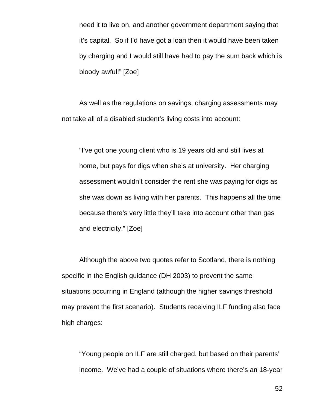need it to live on, and another government department saying that it's capital. So if I'd have got a loan then it would have been taken by charging and I would still have had to pay the sum back which is bloody awful!" [Zoe]

 As well as the regulations on savings, charging assessments may not take all of a disabled student's living costs into account:

"I've got one young client who is 19 years old and still lives at home, but pays for digs when she's at university. Her charging assessment wouldn't consider the rent she was paying for digs as she was down as living with her parents. This happens all the time because there's very little they'll take into account other than gas and electricity." [Zoe]

 Although the above two quotes refer to Scotland, there is nothing specific in the English guidance (DH 2003) to prevent the same situations occurring in England (although the higher savings threshold may prevent the first scenario). Students receiving ILF funding also face high charges:

"Young people on ILF are still charged, but based on their parents' income. We've had a couple of situations where there's an 18-year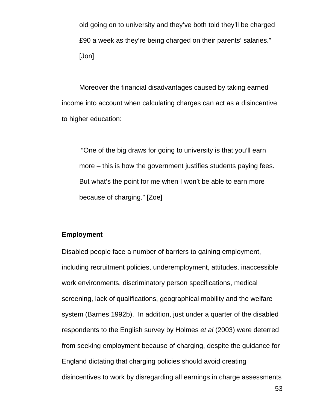old going on to university and they've both told they'll be charged £90 a week as they're being charged on their parents' salaries." [Jon]

 Moreover the financial disadvantages caused by taking earned income into account when calculating charges can act as a disincentive to higher education:

 "One of the big draws for going to university is that you'll earn more – this is how the government justifies students paying fees. But what's the point for me when I won't be able to earn more because of charging." [Zoe]

# **Employment**

Disabled people face a number of barriers to gaining employment, including recruitment policies, underemployment, attitudes, inaccessible work environments, discriminatory person specifications, medical screening, lack of qualifications, geographical mobility and the welfare system (Barnes 1992b). In addition, just under a quarter of the disabled respondents to the English survey by Holmes *et al* (2003) were deterred from seeking employment because of charging, despite the guidance for England dictating that charging policies should avoid creating disincentives to work by disregarding all earnings in charge assessments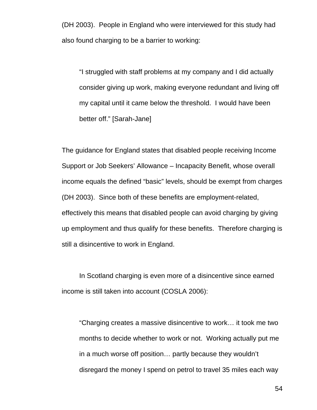(DH 2003). People in England who were interviewed for this study had also found charging to be a barrier to working:

"I struggled with staff problems at my company and I did actually consider giving up work, making everyone redundant and living off my capital until it came below the threshold. I would have been better off." [Sarah-Jane]

The guidance for England states that disabled people receiving Income Support or Job Seekers' Allowance – Incapacity Benefit, whose overall income equals the defined "basic" levels, should be exempt from charges (DH 2003). Since both of these benefits are employment-related, effectively this means that disabled people can avoid charging by giving up employment and thus qualify for these benefits. Therefore charging is still a disincentive to work in England.

In Scotland charging is even more of a disincentive since earned income is still taken into account (COSLA 2006):

"Charging creates a massive disincentive to work… it took me two months to decide whether to work or not. Working actually put me in a much worse off position… partly because they wouldn't disregard the money I spend on petrol to travel 35 miles each way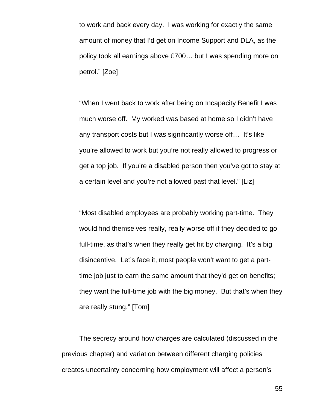to work and back every day. I was working for exactly the same amount of money that I'd get on Income Support and DLA, as the policy took all earnings above £700… but I was spending more on petrol." [Zoe]

"When I went back to work after being on Incapacity Benefit I was much worse off. My worked was based at home so I didn't have any transport costs but I was significantly worse off… It's like you're allowed to work but you're not really allowed to progress or get a top job. If you're a disabled person then you've got to stay at a certain level and you're not allowed past that level." [Liz]

"Most disabled employees are probably working part-time. They would find themselves really, really worse off if they decided to go full-time, as that's when they really get hit by charging. It's a big disincentive. Let's face it, most people won't want to get a parttime job just to earn the same amount that they'd get on benefits; they want the full-time job with the big money. But that's when they are really stung." [Tom]

 The secrecy around how charges are calculated (discussed in the previous chapter) and variation between different charging policies creates uncertainty concerning how employment will affect a person's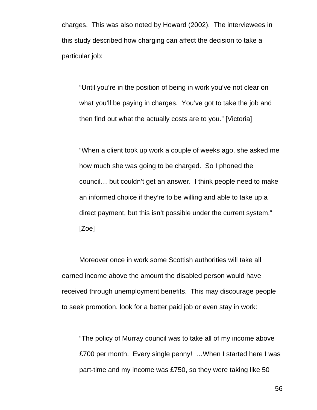charges. This was also noted by Howard (2002). The interviewees in this study described how charging can affect the decision to take a particular job:

"Until you're in the position of being in work you've not clear on what you'll be paying in charges. You've got to take the job and then find out what the actually costs are to you." [Victoria]

"When a client took up work a couple of weeks ago, she asked me how much she was going to be charged. So I phoned the council… but couldn't get an answer. I think people need to make an informed choice if they're to be willing and able to take up a direct payment, but this isn't possible under the current system." [Zoe]

 Moreover once in work some Scottish authorities will take all earned income above the amount the disabled person would have received through unemployment benefits. This may discourage people to seek promotion, look for a better paid job or even stay in work:

"The policy of Murray council was to take all of my income above £700 per month. Every single penny! …When I started here I was part-time and my income was £750, so they were taking like 50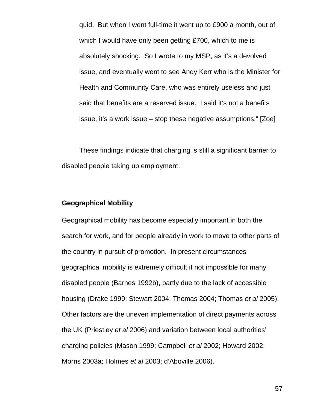quid. But when I went full-time it went up to £900 a month, out of which I would have only been getting £700, which to me is absolutely shocking. So I wrote to my MSP, as it's a devolved issue, and eventually went to see Andy Kerr who is the Minister for Health and Community Care, who was entirely useless and just said that benefits are a reserved issue. I said it's not a benefits issue, it's a work issue – stop these negative assumptions." [Zoe]

 These findings indicate that charging is still a significant barrier to disabled people taking up employment.

## **Geographical Mobility**

Geographical mobility has become especially important in both the search for work, and for people already in work to move to other parts of the country in pursuit of promotion. In present circumstances geographical mobility is extremely difficult if not impossible for many disabled people (Barnes 1992b), partly due to the lack of accessible housing (Drake 1999; Stewart 2004; Thomas 2004; Thomas *et al* 2005). Other factors are the uneven implementation of direct payments across the UK (Priestley *et al* 2006) and variation between local authorities' charging policies (Mason 1999; Campbell *et al* 2002; Howard 2002; Morris 2003a; Holmes *et al* 2003; d'Aboville 2006).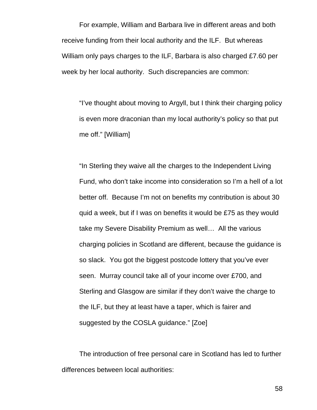For example, William and Barbara live in different areas and both receive funding from their local authority and the ILF. But whereas William only pays charges to the ILF, Barbara is also charged £7.60 per week by her local authority. Such discrepancies are common:

"I've thought about moving to Argyll, but I think their charging policy is even more draconian than my local authority's policy so that put me off." [William]

"In Sterling they waive all the charges to the Independent Living Fund, who don't take income into consideration so I'm a hell of a lot better off. Because I'm not on benefits my contribution is about 30 quid a week, but if I was on benefits it would be £75 as they would take my Severe Disability Premium as well… All the various charging policies in Scotland are different, because the guidance is so slack. You got the biggest postcode lottery that you've ever seen. Murray council take all of your income over £700, and Sterling and Glasgow are similar if they don't waive the charge to the ILF, but they at least have a taper, which is fairer and suggested by the COSLA guidance." [Zoe]

 The introduction of free personal care in Scotland has led to further differences between local authorities: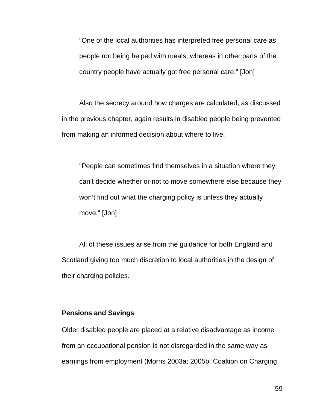"One of the local authorities has interpreted free personal care as people not being helped with meals, whereas in other parts of the country people have actually got free personal care." [Jon]

 Also the secrecy around how charges are calculated, as discussed in the previous chapter, again results in disabled people being prevented from making an informed decision about where to live:

"People can sometimes find themselves in a situation where they can't decide whether or not to move somewhere else because they won't find out what the charging policy is unless they actually move." [Jon]

 All of these issues arise from the guidance for both England and Scotland giving too much discretion to local authorities in the design of their charging policies.

### **Pensions and Savings**

Older disabled people are placed at a relative disadvantage as income from an occupational pension is not disregarded in the same way as earnings from employment (Morris 2003a; 2005b; Coaltion on Charging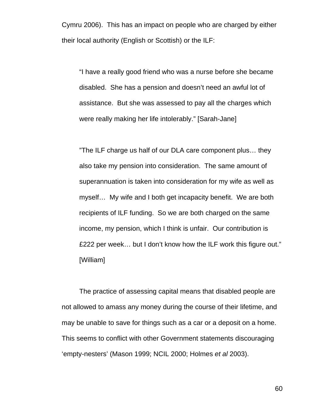Cymru 2006). This has an impact on people who are charged by either their local authority (English or Scottish) or the ILF:

"I have a really good friend who was a nurse before she became disabled. She has a pension and doesn't need an awful lot of assistance. But she was assessed to pay all the charges which were really making her life intolerably." [Sarah-Jane]

"The ILF charge us half of our DLA care component plus… they also take my pension into consideration. The same amount of superannuation is taken into consideration for my wife as well as myself… My wife and I both get incapacity benefit. We are both recipients of ILF funding. So we are both charged on the same income, my pension, which I think is unfair. Our contribution is £222 per week… but I don't know how the ILF work this figure out." [William]

The practice of assessing capital means that disabled people are not allowed to amass any money during the course of their lifetime, and may be unable to save for things such as a car or a deposit on a home. This seems to conflict with other Government statements discouraging 'empty-nesters' (Mason 1999; NCIL 2000; Holmes *et al* 2003).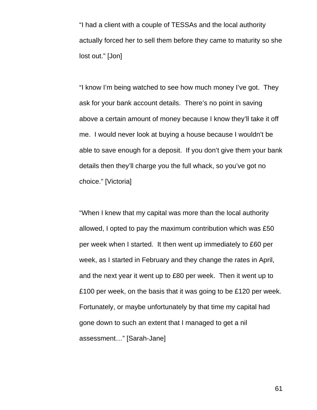"I had a client with a couple of TESSAs and the local authority actually forced her to sell them before they came to maturity so she lost out." [Jon]

"I know I'm being watched to see how much money I've got. They ask for your bank account details. There's no point in saving above a certain amount of money because I know they'll take it off me. I would never look at buying a house because I wouldn't be able to save enough for a deposit. If you don't give them your bank details then they'll charge you the full whack, so you've got no choice." [Victoria]

"When I knew that my capital was more than the local authority allowed, I opted to pay the maximum contribution which was £50 per week when I started. It then went up immediately to £60 per week, as I started in February and they change the rates in April, and the next year it went up to £80 per week. Then it went up to £100 per week, on the basis that it was going to be £120 per week. Fortunately, or maybe unfortunately by that time my capital had gone down to such an extent that I managed to get a nil assessment…" [Sarah-Jane]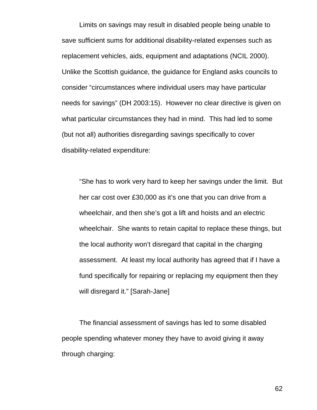Limits on savings may result in disabled people being unable to save sufficient sums for additional disability-related expenses such as replacement vehicles, aids, equipment and adaptations (NCIL 2000). Unlike the Scottish guidance, the guidance for England asks councils to consider "circumstances where individual users may have particular needs for savings" (DH 2003:15). However no clear directive is given on what particular circumstances they had in mind. This had led to some (but not all) authorities disregarding savings specifically to cover disability-related expenditure:

"She has to work very hard to keep her savings under the limit. But her car cost over £30,000 as it's one that you can drive from a wheelchair, and then she's got a lift and hoists and an electric wheelchair. She wants to retain capital to replace these things, but the local authority won't disregard that capital in the charging assessment. At least my local authority has agreed that if I have a fund specifically for repairing or replacing my equipment then they will disregard it." [Sarah-Jane]

 The financial assessment of savings has led to some disabled people spending whatever money they have to avoid giving it away through charging: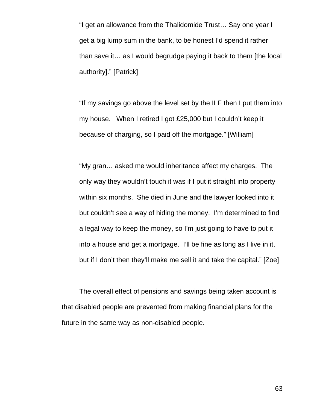"I get an allowance from the Thalidomide Trust… Say one year I get a big lump sum in the bank, to be honest I'd spend it rather than save it… as I would begrudge paying it back to them [the local authority]." [Patrick]

"If my savings go above the level set by the ILF then I put them into my house. When I retired I got £25,000 but I couldn't keep it because of charging, so I paid off the mortgage." [William]

"My gran… asked me would inheritance affect my charges. The only way they wouldn't touch it was if I put it straight into property within six months. She died in June and the lawyer looked into it but couldn't see a way of hiding the money. I'm determined to find a legal way to keep the money, so I'm just going to have to put it into a house and get a mortgage. I'll be fine as long as I live in it, but if I don't then they'll make me sell it and take the capital." [Zoe]

 The overall effect of pensions and savings being taken account is that disabled people are prevented from making financial plans for the future in the same way as non-disabled people.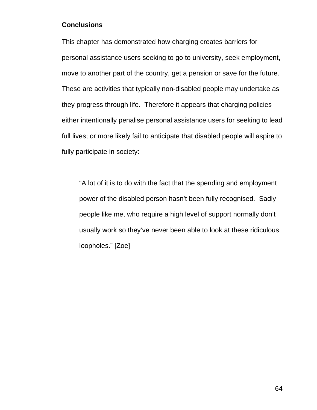# **Conclusions**

This chapter has demonstrated how charging creates barriers for personal assistance users seeking to go to university, seek employment, move to another part of the country, get a pension or save for the future. These are activities that typically non-disabled people may undertake as they progress through life. Therefore it appears that charging policies either intentionally penalise personal assistance users for seeking to lead full lives; or more likely fail to anticipate that disabled people will aspire to fully participate in society:

"A lot of it is to do with the fact that the spending and employment power of the disabled person hasn't been fully recognised. Sadly people like me, who require a high level of support normally don't usually work so they've never been able to look at these ridiculous loopholes." [Zoe]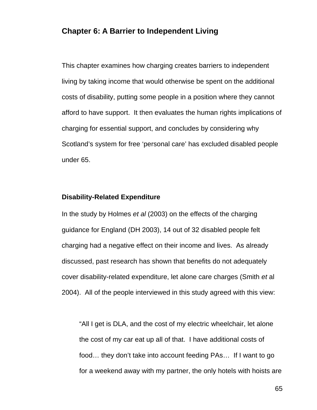## **Chapter 6: A Barrier to Independent Living**

This chapter examines how charging creates barriers to independent living by taking income that would otherwise be spent on the additional costs of disability, putting some people in a position where they cannot afford to have support. It then evaluates the human rights implications of charging for essential support, and concludes by considering why Scotland's system for free 'personal care' has excluded disabled people under 65.

#### **Disability-Related Expenditure**

In the study by Holmes *et al* (2003) on the effects of the charging guidance for England (DH 2003), 14 out of 32 disabled people felt charging had a negative effect on their income and lives. As already discussed, past research has shown that benefits do not adequately cover disability-related expenditure, let alone care charges (Smith *et* al 2004). All of the people interviewed in this study agreed with this view:

"All I get is DLA, and the cost of my electric wheelchair, let alone the cost of my car eat up all of that. I have additional costs of food… they don't take into account feeding PAs… If I want to go for a weekend away with my partner, the only hotels with hoists are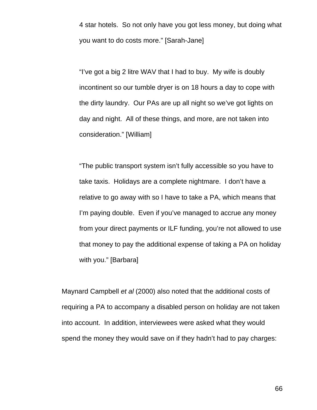4 star hotels. So not only have you got less money, but doing what you want to do costs more." [Sarah-Jane]

"I've got a big 2 litre WAV that I had to buy. My wife is doubly incontinent so our tumble dryer is on 18 hours a day to cope with the dirty laundry. Our PAs are up all night so we've got lights on day and night. All of these things, and more, are not taken into consideration." [William]

"The public transport system isn't fully accessible so you have to take taxis. Holidays are a complete nightmare. I don't have a relative to go away with so I have to take a PA, which means that I'm paying double. Even if you've managed to accrue any money from your direct payments or ILF funding, you're not allowed to use that money to pay the additional expense of taking a PA on holiday with you." [Barbara]

Maynard Campbell *et al* (2000) also noted that the additional costs of requiring a PA to accompany a disabled person on holiday are not taken into account. In addition, interviewees were asked what they would spend the money they would save on if they hadn't had to pay charges: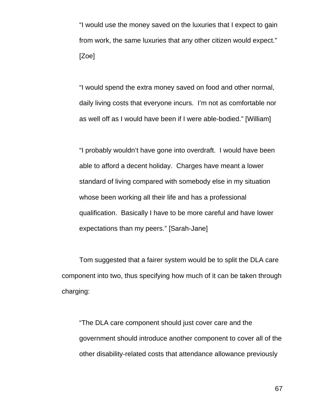"I would use the money saved on the luxuries that I expect to gain from work, the same luxuries that any other citizen would expect." [Zoe]

"I would spend the extra money saved on food and other normal, daily living costs that everyone incurs. I'm not as comfortable nor as well off as I would have been if I were able-bodied." [William]

"I probably wouldn't have gone into overdraft. I would have been able to afford a decent holiday. Charges have meant a lower standard of living compared with somebody else in my situation whose been working all their life and has a professional qualification. Basically I have to be more careful and have lower expectations than my peers." [Sarah-Jane]

 Tom suggested that a fairer system would be to split the DLA care component into two, thus specifying how much of it can be taken through charging:

"The DLA care component should just cover care and the government should introduce another component to cover all of the other disability-related costs that attendance allowance previously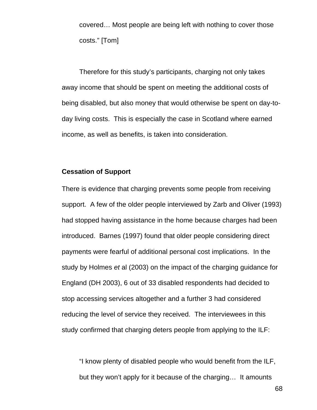covered… Most people are being left with nothing to cover those costs." [Tom]

Therefore for this study's participants, charging not only takes away income that should be spent on meeting the additional costs of being disabled, but also money that would otherwise be spent on day-today living costs. This is especially the case in Scotland where earned income, as well as benefits, is taken into consideration.

#### **Cessation of Support**

There is evidence that charging prevents some people from receiving support. A few of the older people interviewed by Zarb and Oliver (1993) had stopped having assistance in the home because charges had been introduced. Barnes (1997) found that older people considering direct payments were fearful of additional personal cost implications. In the study by Holmes *et* al (2003) on the impact of the charging guidance for England (DH 2003), 6 out of 33 disabled respondents had decided to stop accessing services altogether and a further 3 had considered reducing the level of service they received. The interviewees in this study confirmed that charging deters people from applying to the ILF:

"I know plenty of disabled people who would benefit from the ILF, but they won't apply for it because of the charging… It amounts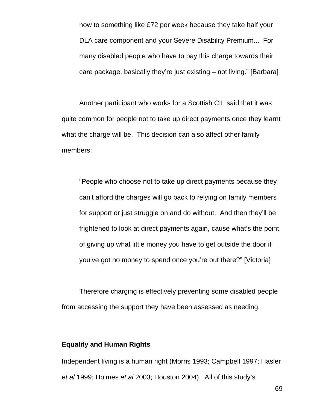now to something like £72 per week because they take half your DLA care component and your Severe Disability Premium... For many disabled people who have to pay this charge towards their care package, basically they're just existing – not living." [Barbara]

Another participant who works for a Scottish CIL said that it was quite common for people not to take up direct payments once they learnt what the charge will be. This decision can also affect other family members:

"People who choose not to take up direct payments because they can't afford the charges will go back to relying on family members for support or just struggle on and do without. And then they'll be frightened to look at direct payments again, cause what's the point of giving up what little money you have to get outside the door if you've got no money to spend once you're out there?" [Victoria]

 Therefore charging is effectively preventing some disabled people from accessing the support they have been assessed as needing.

## **Equality and Human Rights**

Independent living is a human right (Morris 1993; Campbell 1997; Hasler *et al* 1999; Holmes *et al* 2003; Houston 2004). All of this study's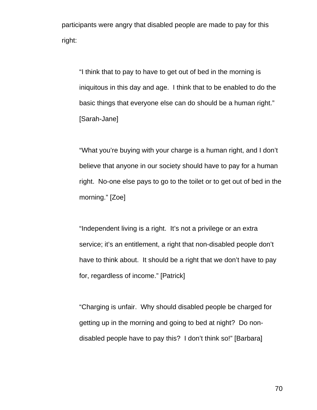participants were angry that disabled people are made to pay for this right:

"I think that to pay to have to get out of bed in the morning is iniquitous in this day and age. I think that to be enabled to do the basic things that everyone else can do should be a human right." [Sarah-Jane]

"What you're buying with your charge is a human right, and I don't believe that anyone in our society should have to pay for a human right. No-one else pays to go to the toilet or to get out of bed in the morning." [Zoe]

"Independent living is a right. It's not a privilege or an extra service; it's an entitlement, a right that non-disabled people don't have to think about. It should be a right that we don't have to pay for, regardless of income." [Patrick]

"Charging is unfair. Why should disabled people be charged for getting up in the morning and going to bed at night? Do nondisabled people have to pay this? I don't think so!" [Barbara]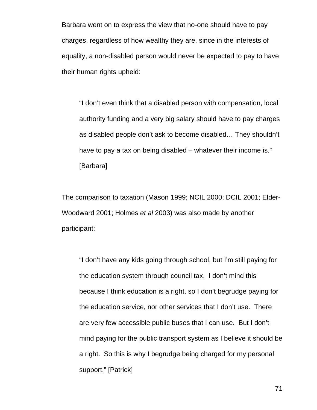Barbara went on to express the view that no-one should have to pay charges, regardless of how wealthy they are, since in the interests of equality, a non-disabled person would never be expected to pay to have their human rights upheld:

"I don't even think that a disabled person with compensation, local authority funding and a very big salary should have to pay charges as disabled people don't ask to become disabled… They shouldn't have to pay a tax on being disabled – whatever their income is." [Barbara]

The comparison to taxation (Mason 1999; NCIL 2000; DCIL 2001; Elder-Woodward 2001; Holmes *et al* 2003) was also made by another participant:

"I don't have any kids going through school, but I'm still paying for the education system through council tax. I don't mind this because I think education is a right, so I don't begrudge paying for the education service, nor other services that I don't use. There are very few accessible public buses that I can use. But I don't mind paying for the public transport system as I believe it should be a right. So this is why I begrudge being charged for my personal support." [Patrick]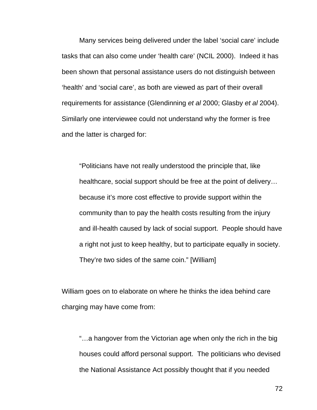Many services being delivered under the label 'social care' include tasks that can also come under 'health care' (NCIL 2000). Indeed it has been shown that personal assistance users do not distinguish between 'health' and 'social care', as both are viewed as part of their overall requirements for assistance (Glendinning *et al* 2000; Glasby *et al* 2004). Similarly one interviewee could not understand why the former is free and the latter is charged for:

"Politicians have not really understood the principle that, like healthcare, social support should be free at the point of delivery… because it's more cost effective to provide support within the community than to pay the health costs resulting from the injury and ill-health caused by lack of social support. People should have a right not just to keep healthy, but to participate equally in society. They're two sides of the same coin." [William]

William goes on to elaborate on where he thinks the idea behind care charging may have come from:

"…a hangover from the Victorian age when only the rich in the big houses could afford personal support. The politicians who devised the National Assistance Act possibly thought that if you needed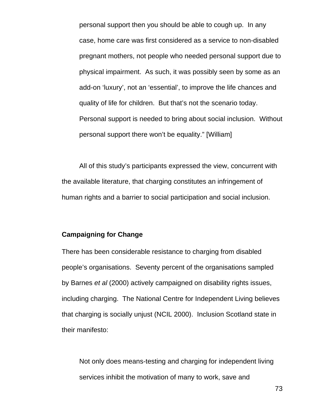personal support then you should be able to cough up. In any case, home care was first considered as a service to non-disabled pregnant mothers, not people who needed personal support due to physical impairment. As such, it was possibly seen by some as an add-on 'luxury', not an 'essential', to improve the life chances and quality of life for children. But that's not the scenario today. Personal support is needed to bring about social inclusion. Without personal support there won't be equality." [William]

 All of this study's participants expressed the view, concurrent with the available literature, that charging constitutes an infringement of human rights and a barrier to social participation and social inclusion.

### **Campaigning for Change**

There has been considerable resistance to charging from disabled people's organisations. Seventy percent of the organisations sampled by Barnes *et al* (2000) actively campaigned on disability rights issues, including charging. The National Centre for Independent Living believes that charging is socially unjust (NCIL 2000). Inclusion Scotland state in their manifesto:

Not only does means-testing and charging for independent living services inhibit the motivation of many to work, save and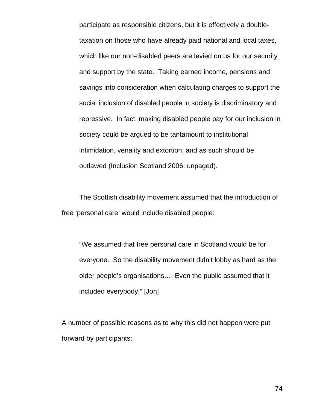participate as responsible citizens, but it is effectively a doubletaxation on those who have already paid national and local taxes, which like our non-disabled peers are levied on us for our security and support by the state. Taking earned income, pensions and savings into consideration when calculating charges to support the social inclusion of disabled people in society is discriminatory and repressive. In fact, making disabled people pay for our inclusion in society could be argued to be tantamount to institutional intimidation, venality and extortion; and as such should be outlawed (Inclusion Scotland 2006: unpaged).

 The Scottish disability movement assumed that the introduction of free 'personal care' would include disabled people:

"We assumed that free personal care in Scotland would be for everyone. So the disability movement didn't lobby as hard as the older people's organisations…. Even the public assumed that it included everybody." [Jon]

A number of possible reasons as to why this did not happen were put forward by participants: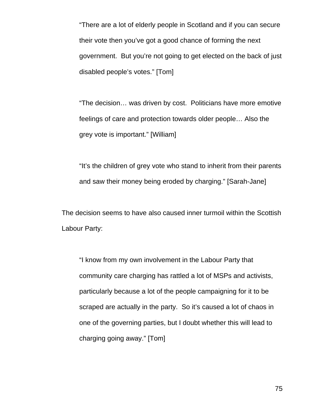"There are a lot of elderly people in Scotland and if you can secure their vote then you've got a good chance of forming the next government. But you're not going to get elected on the back of just disabled people's votes." [Tom]

"The decision… was driven by cost. Politicians have more emotive feelings of care and protection towards older people… Also the grey vote is important." [William]

"It's the children of grey vote who stand to inherit from their parents and saw their money being eroded by charging." [Sarah-Jane]

The decision seems to have also caused inner turmoil within the Scottish Labour Party:

"I know from my own involvement in the Labour Party that community care charging has rattled a lot of MSPs and activists, particularly because a lot of the people campaigning for it to be scraped are actually in the party. So it's caused a lot of chaos in one of the governing parties, but I doubt whether this will lead to charging going away." [Tom]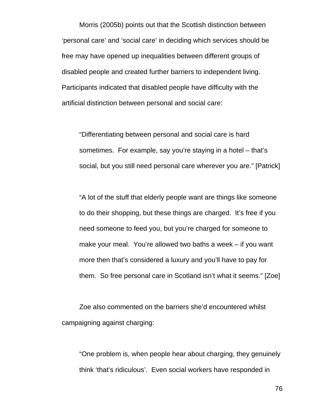Morris (2005b) points out that the Scottish distinction between 'personal care' and 'social care' in deciding which services should be free may have opened up inequalities between different groups of disabled people and created further barriers to independent living. Participants indicated that disabled people have difficulty with the artificial distinction between personal and social care:

"Differentiating between personal and social care is hard sometimes. For example, say you're staying in a hotel – that's social, but you still need personal care wherever you are." [Patrick]

"A lot of the stuff that elderly people want are things like someone to do their shopping, but these things are charged. It's free if you need someone to feed you, but you're charged for someone to make your meal. You're allowed two baths a week – if you want more then that's considered a luxury and you'll have to pay for them. So free personal care in Scotland isn't what it seems." [Zoe]

 Zoe also commented on the barriers she'd encountered whilst campaigning against charging:

"One problem is, when people hear about charging, they genuinely think 'that's ridiculous'. Even social workers have responded in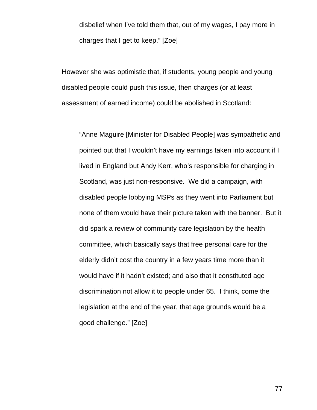disbelief when I've told them that, out of my wages, I pay more in charges that I get to keep." [Zoe]

However she was optimistic that, if students, young people and young disabled people could push this issue, then charges (or at least assessment of earned income) could be abolished in Scotland:

"Anne Maguire [Minister for Disabled People] was sympathetic and pointed out that I wouldn't have my earnings taken into account if I lived in England but Andy Kerr, who's responsible for charging in Scotland, was just non-responsive. We did a campaign, with disabled people lobbying MSPs as they went into Parliament but none of them would have their picture taken with the banner. But it did spark a review of community care legislation by the health committee, which basically says that free personal care for the elderly didn't cost the country in a few years time more than it would have if it hadn't existed; and also that it constituted age discrimination not allow it to people under 65. I think, come the legislation at the end of the year, that age grounds would be a good challenge." [Zoe]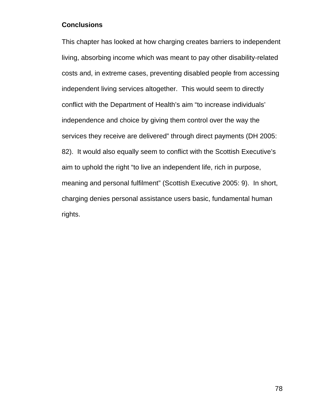## **Conclusions**

This chapter has looked at how charging creates barriers to independent living, absorbing income which was meant to pay other disability-related costs and, in extreme cases, preventing disabled people from accessing independent living services altogether. This would seem to directly conflict with the Department of Health's aim "to increase individuals' independence and choice by giving them control over the way the services they receive are delivered" through direct payments (DH 2005: 82). It would also equally seem to conflict with the Scottish Executive's aim to uphold the right "to live an independent life, rich in purpose, meaning and personal fulfilment" (Scottish Executive 2005: 9). In short, charging denies personal assistance users basic, fundamental human rights.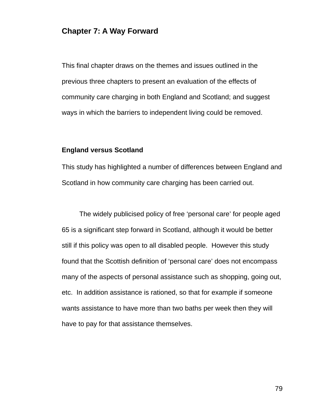## **Chapter 7: A Way Forward**

This final chapter draws on the themes and issues outlined in the previous three chapters to present an evaluation of the effects of community care charging in both England and Scotland; and suggest ways in which the barriers to independent living could be removed.

## **England versus Scotland**

This study has highlighted a number of differences between England and Scotland in how community care charging has been carried out.

 The widely publicised policy of free 'personal care' for people aged 65 is a significant step forward in Scotland, although it would be better still if this policy was open to all disabled people. However this study found that the Scottish definition of 'personal care' does not encompass many of the aspects of personal assistance such as shopping, going out, etc. In addition assistance is rationed, so that for example if someone wants assistance to have more than two baths per week then they will have to pay for that assistance themselves.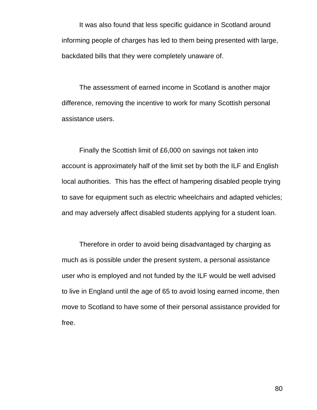It was also found that less specific guidance in Scotland around informing people of charges has led to them being presented with large, backdated bills that they were completely unaware of.

 The assessment of earned income in Scotland is another major difference, removing the incentive to work for many Scottish personal assistance users.

 Finally the Scottish limit of £6,000 on savings not taken into account is approximately half of the limit set by both the ILF and English local authorities. This has the effect of hampering disabled people trying to save for equipment such as electric wheelchairs and adapted vehicles; and may adversely affect disabled students applying for a student loan.

 Therefore in order to avoid being disadvantaged by charging as much as is possible under the present system, a personal assistance user who is employed and not funded by the ILF would be well advised to live in England until the age of 65 to avoid losing earned income, then move to Scotland to have some of their personal assistance provided for free.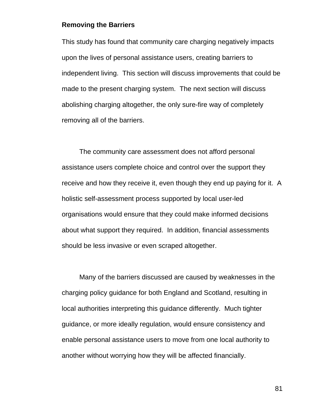#### **Removing the Barriers**

This study has found that community care charging negatively impacts upon the lives of personal assistance users, creating barriers to independent living. This section will discuss improvements that could be made to the present charging system. The next section will discuss abolishing charging altogether, the only sure-fire way of completely removing all of the barriers.

 The community care assessment does not afford personal assistance users complete choice and control over the support they receive and how they receive it, even though they end up paying for it. A holistic self-assessment process supported by local user-led organisations would ensure that they could make informed decisions about what support they required. In addition, financial assessments should be less invasive or even scraped altogether.

 Many of the barriers discussed are caused by weaknesses in the charging policy guidance for both England and Scotland, resulting in local authorities interpreting this guidance differently. Much tighter guidance, or more ideally regulation, would ensure consistency and enable personal assistance users to move from one local authority to another without worrying how they will be affected financially.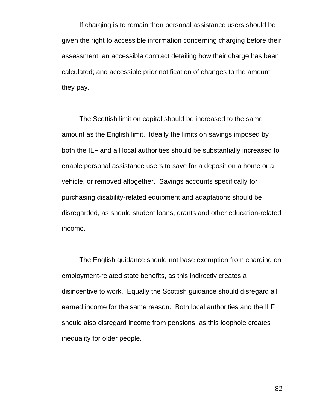If charging is to remain then personal assistance users should be given the right to accessible information concerning charging before their assessment; an accessible contract detailing how their charge has been calculated; and accessible prior notification of changes to the amount they pay.

 The Scottish limit on capital should be increased to the same amount as the English limit. Ideally the limits on savings imposed by both the ILF and all local authorities should be substantially increased to enable personal assistance users to save for a deposit on a home or a vehicle, or removed altogether. Savings accounts specifically for purchasing disability-related equipment and adaptations should be disregarded, as should student loans, grants and other education-related income.

 The English guidance should not base exemption from charging on employment-related state benefits, as this indirectly creates a disincentive to work. Equally the Scottish guidance should disregard all earned income for the same reason. Both local authorities and the ILF should also disregard income from pensions, as this loophole creates inequality for older people.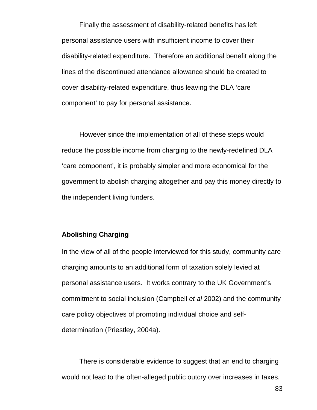Finally the assessment of disability-related benefits has left personal assistance users with insufficient income to cover their disability-related expenditure. Therefore an additional benefit along the lines of the discontinued attendance allowance should be created to cover disability-related expenditure, thus leaving the DLA 'care component' to pay for personal assistance.

 However since the implementation of all of these steps would reduce the possible income from charging to the newly-redefined DLA 'care component', it is probably simpler and more economical for the government to abolish charging altogether and pay this money directly to the independent living funders.

### **Abolishing Charging**

In the view of all of the people interviewed for this study, community care charging amounts to an additional form of taxation solely levied at personal assistance users. It works contrary to the UK Government's commitment to social inclusion (Campbell *et al* 2002) and the community care policy objectives of promoting individual choice and selfdetermination (Priestley, 2004a).

There is considerable evidence to suggest that an end to charging would not lead to the often-alleged public outcry over increases in taxes.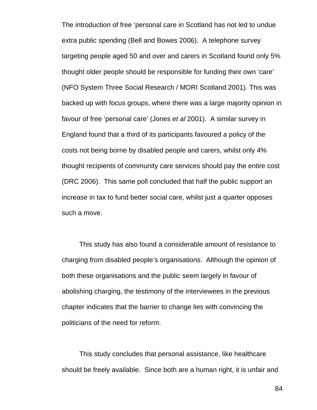The introduction of free 'personal care in Scotland has not led to undue extra public spending (Bell and Bowes 2006). A telephone survey targeting people aged 50 and over and carers in Scotland found only 5% thought older people should be responsible for funding their own 'care' (NFO System Three Social Research / MORI Scotland 2001). This was backed up with focus groups, where there was a large majority opinion in favour of free 'personal care' (Jones *et al* 2001). A similar survey in England found that a third of its participants favoured a policy of the costs not being borne by disabled people and carers, whilst only 4% thought recipients of community care services should pay the entire cost (DRC 2006). This same poll concluded that half the public support an increase in tax to fund better social care, whilst just a quarter opposes such a move.

 This study has also found a considerable amount of resistance to charging from disabled people's organisations. Although the opinion of both these organisations and the public seem largely in favour of abolishing charging, the testimony of the interviewees in the previous chapter indicates that the barrier to change lies with convincing the politicians of the need for reform.

 This study concludes that personal assistance, like healthcare should be freely available. Since both are a human right, it is unfair and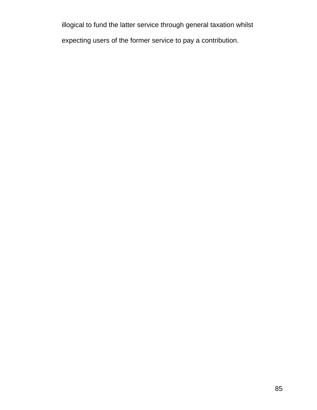illogical to fund the latter service through general taxation whilst expecting users of the former service to pay a contribution.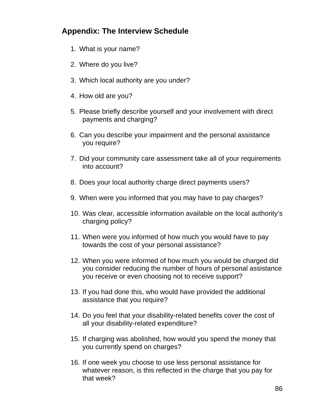# **Appendix: The Interview Schedule**

- 1. What is your name?
- 2. Where do you live?
- 3. Which local authority are you under?
- 4. How old are you?
- 5. Please briefly describe yourself and your involvement with direct payments and charging?
- 6. Can you describe your impairment and the personal assistance you require?
- 7. Did your community care assessment take all of your requirements into account?
- 8. Does your local authority charge direct payments users?
- 9. When were you informed that you may have to pay charges?
- 10. Was clear, accessible information available on the local authority's charging policy?
- 11. When were you informed of how much you would have to pay towards the cost of your personal assistance?
- 12. When you were informed of how much you would be charged did you consider reducing the number of hours of personal assistance you receive or even choosing not to receive support?
- 13. If you had done this, who would have provided the additional assistance that you require?
- 14. Do you feel that your disability-related benefits cover the cost of all your disability-related expenditure?
- 15. If charging was abolished, how would you spend the money that you currently spend on charges?
- 16. If one week you choose to use less personal assistance for whatever reason, is this reflected in the charge that you pay for that week?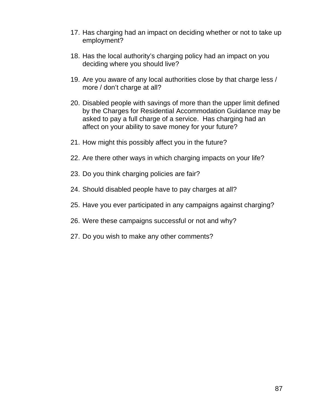- 17. Has charging had an impact on deciding whether or not to take up employment?
- 18. Has the local authority's charging policy had an impact on you deciding where you should live?
- 19. Are you aware of any local authorities close by that charge less / more / don't charge at all?
- 20. Disabled people with savings of more than the upper limit defined by the Charges for Residential Accommodation Guidance may be asked to pay a full charge of a service. Has charging had an affect on your ability to save money for your future?
- 21. How might this possibly affect you in the future?
- 22. Are there other ways in which charging impacts on your life?
- 23. Do you think charging policies are fair?
- 24. Should disabled people have to pay charges at all?
- 25. Have you ever participated in any campaigns against charging?
- 26. Were these campaigns successful or not and why?
- 27. Do you wish to make any other comments?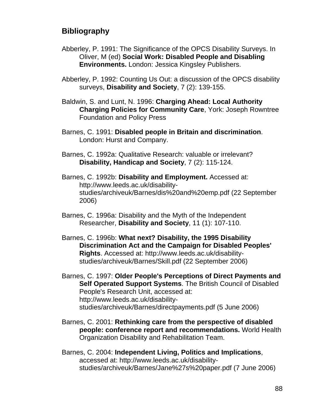# **Bibliography**

- Abberley, P. 1991: The Significance of the OPCS Disability Surveys. In Oliver, M (ed) **Social Work: Disabled People and Disabling Environments.** London: Jessica Kingsley Publishers.
- Abberley, P. 1992: Counting Us Out: a discussion of the OPCS disability surveys, **Disability and Society**, 7 (2): 139-155.
- Baldwin, S. and Lunt, N. 1996: **Charging Ahead: Local Authority Charging Policies for Community Care**, York: Joseph Rowntree Foundation and Policy Press
- Barnes, C. 1991: **Disabled people in Britain and discrimination**. London: Hurst and Company.
- Barnes, C. 1992a: Qualitative Research: valuable or irrelevant? **Disability, Handicap and Society**, 7 (2): 115-124.
- Barnes, C. 1992b: **Disability and Employment.** Accessed at: http://www.leeds.ac.uk/disabilitystudies/archiveuk/Barnes/dis%20and%20emp.pdf (22 September 2006)
- Barnes, C. 1996a: Disability and the Myth of the Independent Researcher, **Disability and Society**, 11 (1): 107-110.
- Barnes, C. 1996b: **What next? Disability, the 1995 Disability Discrimination Act and the Campaign for Disabled Peoples' Rights**. Accessed at: http://www.leeds.ac.uk/disabilitystudies/archiveuk/Barnes/Skill.pdf (22 September 2006)
- Barnes, C. 1997: **Older People's Perceptions of Direct Payments and Self Operated Support Systems**. The British Council of Disabled People's Research Unit, accessed at: http://www.leeds.ac.uk/disabilitystudies/archiveuk/Barnes/directpayments.pdf (5 June 2006)
- Barnes, C. 2001: **Rethinking care from the perspective of disabled people: conference report and recommendations.** World Health Organization Disability and Rehabilitation Team.
- Barnes, C. 2004: **Independent Living, Politics and Implications**, accessed at: http://www.leeds.ac.uk/disabilitystudies/archiveuk/Barnes/Jane%27s%20paper.pdf (7 June 2006)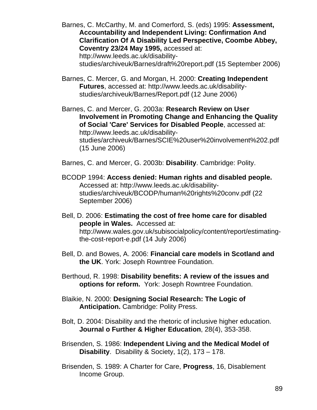Barnes, C. McCarthy, M. and Comerford, S. (eds) 1995: **Assessment, Accountability and Independent Living: Confirmation And Clarification Of A Disability Led Perspective, Coombe Abbey, Coventry 23/24 May 1995,** accessed at: http://www.leeds.ac.uk/disabilitystudies/archiveuk/Barnes/draft%20report.pdf (15 September 2006)

Barnes, C. Mercer, G. and Morgan, H. 2000: **Creating Independent Futures**, accessed at: http://www.leeds.ac.uk/disabilitystudies/archiveuk/Barnes/Report.pdf (12 June 2006)

Barnes, C. and Mercer, G. 2003a: **Research Review on User Involvement in Promoting Change and Enhancing the Quality of Social 'Care' Services for Disabled People**, accessed at: http://www.leeds.ac.uk/disabilitystudies/archiveuk/Barnes/SCIE%20user%20involvement%202.pdf (15 June 2006)

Barnes, C. and Mercer, G. 2003b: **Disability**. Cambridge: Polity.

- BCODP 1994: **Access denied: Human rights and disabled people.**  Accessed at: http://www.leeds.ac.uk/disabilitystudies/archiveuk/BCODP/human%20rights%20conv.pdf (22 September 2006)
- Bell, D. 2006: **Estimating the cost of free home care for disabled people in Wales.** Accessed at: http://www.wales.gov.uk/subisocialpolicy/content/report/estimatingthe-cost-report-e.pdf (14 July 2006)
- Bell, D. and Bowes, A. 2006: **Financial care models in Scotland and the UK**. York: Joseph Rowntree Foundation.
- Berthoud, R. 1998: **Disability benefits: A review of the issues and options for reform.** York: Joseph Rowntree Foundation.
- Blaikie, N. 2000: **Designing Social Research: The Logic of Anticipation.** Cambridge: Polity Press.

Bolt, D. 2004: Disability and the rhetoric of inclusive higher education. **Journal o Further & Higher Education**, 28(4), 353-358.

- Brisenden, S. 1986: **Independent Living and the Medical Model of Disability**. Disability & Society, 1(2), 173 – 178.
- Brisenden, S. 1989: A Charter for Care, **Progress**, 16, Disablement Income Group.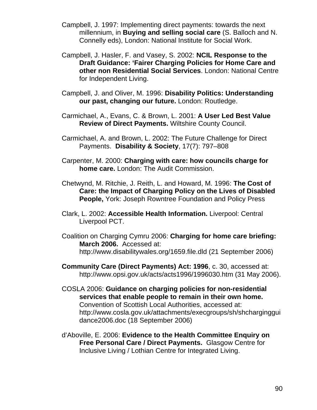- Campbell, J. 1997: Implementing direct payments: towards the next millennium, in **Buying and selling social care** (S. Balloch and N. Connelly eds), London: National Institute for Social Work.
- Campbell, J. Hasler, F. and Vasey, S. 2002: **NCIL Response to the Draft Guidance: 'Fairer Charging Policies for Home Care and other non Residential Social Services**. London: National Centre for Independent Living.
- Campbell, J. and Oliver, M. 1996: **Disability Politics: Understanding our past, changing our future.** London: Routledge.
- Carmichael, A., Evans, C. & Brown, L. 2001: **A User Led Best Value Review of Direct Payments.** Wiltshire County Council.
- Carmichael, A. and Brown, L. 2002: The Future Challenge for Direct Payments. **Disability & Society**, 17(7): 797–808
- Carpenter, M. 2000: **Charging with care: how councils charge for home care.** London: The Audit Commission.
- Chetwynd, M. Ritchie, J. Reith, L. and Howard, M. 1996: **The Cost of Care: the Impact of Charging Policy on the Lives of Disabled People,** York: Joseph Rowntree Foundation and Policy Press
- Clark, L. 2002: **Accessible Health Information.** Liverpool: Central Liverpool PCT.
- Coalition on Charging Cymru 2006: **Charging for home care briefing: March 2006.** Accessed at: http://www.disabilitywales.org/1659.file.dld (21 September 2006)
- **Community Care (Direct Payments) Act: 1996**, c. 30, accessed at: http://www.opsi.gov.uk/acts/acts1996/1996030.htm (31 May 2006).
- COSLA 2006: **Guidance on charging policies for non-residential services that enable people to remain in their own home.**  Convention of Scottish Local Authorities, accessed at: http://www.cosla.gov.uk/attachments/execgroups/sh/shcharginggui dance2006.doc (18 September 2006)
- d'Aboville, E. 2006: **Evidence to the Health Committee Enquiry on Free Personal Care / Direct Payments.** Glasgow Centre for Inclusive Living / Lothian Centre for Integrated Living.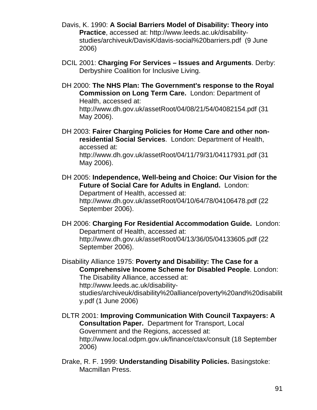- Davis, K. 1990: **A Social Barriers Model of Disability: Theory into Practice**, accessed at: http://www.leeds.ac.uk/disabilitystudies/archiveuk/DavisK/davis-social%20barriers.pdf (9 June 2006)
- DCIL 2001: **Charging For Services Issues and Arguments**. Derby: Derbyshire Coalition for Inclusive Living.
- DH 2000: **The NHS Plan: The Government's response to the Royal Commission on Long Term Care.** London: Department of Health, accessed at: http://www.dh.gov.uk/assetRoot/04/08/21/54/04082154.pdf (31

May 2006).

DH 2003: **Fairer Charging Policies for Home Care and other nonresidential Social Services**. London: Department of Health, accessed at:

http://www.dh.gov.uk/assetRoot/04/11/79/31/04117931.pdf (31 May 2006).

DH 2005: **Independence, Well-being and Choice: Our Vision for the Future of Social Care for Adults in England.** London:

Department of Health, accessed at: http://www.dh.gov.uk/assetRoot/04/10/64/78/04106478.pdf (22 September 2006).

DH 2006: **Charging For Residential Accommodation Guide.** London: Department of Health, accessed at: http://www.dh.gov.uk/assetRoot/04/13/36/05/04133605.pdf (22 September 2006).

Disability Alliance 1975: **Poverty and Disability: The Case for a Comprehensive Income Scheme for Disabled People**. London: The Disability Alliance, accessed at: http://www.leeds.ac.uk/disabilitystudies/archiveuk/disability%20alliance/poverty%20and%20disabilit y.pdf (1 June 2006)

DLTR 2001: **Improving Communication With Council Taxpayers: A Consultation Paper.** Department for Transport, Local Government and the Regions, accessed at: http://www.local.odpm.gov.uk/finance/ctax/consult (18 September 2006)

Drake, R. F. 1999: **Understanding Disability Policies.** Basingstoke: Macmillan Press.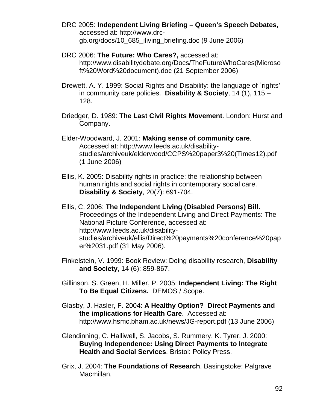- DRC 2005: **Independent Living Briefing Queen's Speech Debates,**  accessed at: http://www.drcgb.org/docs/10\_685\_iliving\_briefing.doc (9 June 2006)
- DRC 2006: **The Future: Who Cares?,** accessed at: http://www.disabilitydebate.org/Docs/TheFutureWhoCares(Microso ft%20Word%20document).doc (21 September 2006)
- Drewett, A. Y. 1999: Social Rights and Disability: the language of `rights' in community care policies. **Disability & Society**, 14 (1), 115 – 128.
- Driedger, D. 1989: **The Last Civil Rights Movement**. London: Hurst and Company.
- Elder-Woodward, J. 2001: **Making sense of community care**. Accessed at: http://www.leeds.ac.uk/disabilitystudies/archiveuk/elderwood/CCPS%20paper3%20(Times12).pdf (1 June 2006)
- Ellis, K. 2005: Disability rights in practice: the relationship between human rights and social rights in contemporary social care. **Disability & Society**, 20(7): 691-704.
- Ellis, C. 2006: **The Independent Living (Disabled Persons) Bill.**  Proceedings of the Independent Living and Direct Payments: The National Picture Conference, accessed at: http://www.leeds.ac.uk/disabilitystudies/archiveuk/ellis/Direct%20payments%20conference%20pap er%2031.pdf (31 May 2006).
- Finkelstein, V. 1999: Book Review: Doing disability research, **Disability and Society**, 14 (6): 859-867.
- Gillinson, S. Green, H. Miller, P. 2005: **Independent Living: The Right To Be Equal Citizens.** DEMOS / Scope.
- Glasby, J. Hasler, F. 2004: **A Healthy Option? Direct Payments and the implications for Health Care**. Accessed at: http://www.hsmc.bham.ac.uk/news/JG-report.pdf (13 June 2006)
- Glendinning, C. Halliwell, S. Jacobs, S. Rummery, K. Tyrer, J. 2000: **Buying Independence: Using Direct Payments to Integrate Health and Social Services**. Bristol: Policy Press.
- Grix, J. 2004: **The Foundations of Research**. Basingstoke: Palgrave Macmillan.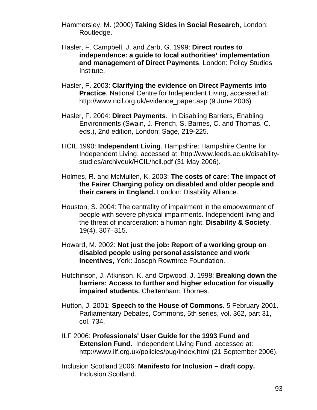Hammersley, M. (2000) **Taking Sides in Social Research**, London: Routledge.

- Hasler, F. Campbell, J. and Zarb, G. 1999: **Direct routes to independence: a guide to local authorities' implementation and management of Direct Payments**, London: Policy Studies Institute.
- Hasler, F. 2003: **Clarifying the evidence on Direct Payments into Practice**, National Centre for Independent Living, accessed at: http://www.ncil.org.uk/evidence\_paper.asp (9 June 2006)
- Hasler, F. 2004: **Direct Payments**. In Disabling Barriers, Enabling Environments (Swain, J. French, S. Barnes, C. and Thomas, C. eds.), 2nd edition, London: Sage, 219-225.
- HCIL 1990: **Independent Living**. Hampshire: Hampshire Centre for Independent Living, accessed at: http://www.leeds.ac.uk/disabilitystudies/archiveuk/HCIL/hcil.pdf (31 May 2006).
- Holmes, R. and McMullen, K. 2003: **The costs of care: The impact of the Fairer Charging policy on disabled and older people and their carers in England.** London: Disability Alliance.
- Houston, S. 2004: The centrality of impairment in the empowerment of people with severe physical impairments. Independent living and the threat of incarceration: a human right, **Disability & Society**, 19(4), 307–315.
- Howard, M. 2002: **Not just the job: Report of a working group on disabled people using personal assistance and work incentives**, York: Joseph Rowntree Foundation.
- Hutchinson, J. Atkinson, K. and Orpwood, J. 1998: **Breaking down the barriers: Access to further and higher education for visually impaired students.** Cheltenham: Thornes.
- Hutton, J. 2001: **Speech to the House of Commons.** 5 February 2001. Parliamentary Debates, Commons, 5th series, vol. 362, part 31, col. 734.
- ILF 2006: **Professionals' User Guide for the 1993 Fund and Extension Fund.** Independent Living Fund, accessed at: http://www.ilf.org.uk/policies/pug/index.html (21 September 2006).
- Inclusion Scotland 2006: **Manifesto for Inclusion draft copy.** Inclusion Scotland.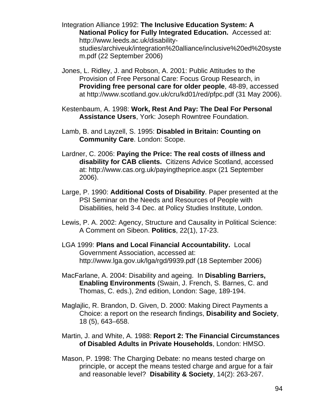Integration Alliance 1992: **The Inclusive Education System: A National Policy for Fully Integrated Education.** Accessed at: http://www.leeds.ac.uk/disabilitystudies/archiveuk/integration%20alliance/inclusive%20ed%20syste m.pdf (22 September 2006)

- Jones, L. Ridley, J. and Robson, A. 2001: Public Attitudes to the Provision of Free Personal Care: Focus Group Research, in **Providing free personal care for older people**, 48-89, accessed at http://www.scotland.gov.uk/cru/kd01/red/pfpc.pdf (31 May 2006).
- Kestenbaum, A. 1998: **Work, Rest And Pay: The Deal For Personal Assistance Users**, York: Joseph Rowntree Foundation.
- Lamb, B. and Layzell, S. 1995: **Disabled in Britain: Counting on Community Care**. London: Scope.
- Lardner, C. 2006: **Paying the Price: The real costs of illness and disability for CAB clients.** Citizens Advice Scotland, accessed at: http://www.cas.org.uk/payingtheprice.aspx (21 September 2006).
- Large, P. 1990: **Additional Costs of Disability**. Paper presented at the PSI Seminar on the Needs and Resources of People with Disabilities, held 3-4 Dec. at Policy Studies Institute, London.
- Lewis, P. A. 2002: Agency, Structure and Causality in Political Science: A Comment on Sibeon. **Politics**, 22(1), 17-23.
- LGA 1999: **Plans and Local Financial Accountability.** Local Government Association, accessed at: http://www.lga.gov.uk/lga/rgd/9939.pdf (18 September 2006)
- MacFarlane, A. 2004: Disability and ageing. In **Disabling Barriers, Enabling Environments** (Swain, J. French, S. Barnes, C. and Thomas, C. eds.), 2nd edition, London: Sage, 189-194.
- Maglajlic, R. Brandon, D. Given, D. 2000: Making Direct Payments a Choice: a report on the research findings, **Disability and Society**, 18 (5), 643–658.
- Martin, J. and White, A. 1988: **Report 2: The Financial Circumstances of Disabled Adults in Private Households**, London: HMSO.
- Mason, P. 1998: The Charging Debate: no means tested charge on principle, or accept the means tested charge and argue for a fair and reasonable level? **Disability & Society**, 14(2): 263-267.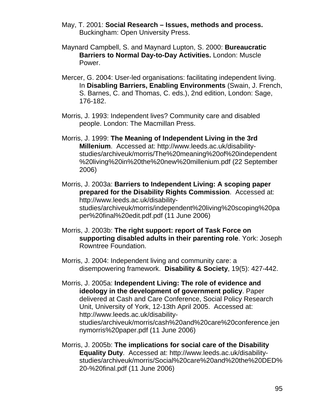- May, T. 2001: **Social Research Issues, methods and process.**  Buckingham: Open University Press.
- Maynard Campbell, S. and Maynard Lupton, S. 2000: **Bureaucratic Barriers to Normal Day-to-Day Activities.** London: Muscle Power.
- Mercer, G. 2004: User-led organisations: facilitating independent living. In **Disabling Barriers, Enabling Environments** (Swain, J. French, S. Barnes, C. and Thomas, C. eds.), 2nd edition, London: Sage, 176-182.
- Morris, J. 1993: Independent lives? Community care and disabled people. London: The Macmillan Press.
- Morris, J. 1999: **The Meaning of Independent Living in the 3rd Millenium**. Accessed at: http://www.leeds.ac.uk/disabilitystudies/archiveuk/morris/The%20meaning%20of%20independent %20living%20in%20the%20new%20millenium.pdf (22 September 2006)
- Morris, J. 2003a: **Barriers to Independent Living: A scoping paper prepared for the Disability Rights Commission**. Accessed at: http://www.leeds.ac.uk/disabilitystudies/archiveuk/morris/independent%20living%20scoping%20pa per%20final%20edit.pdf.pdf (11 June 2006)
- Morris, J. 2003b: **The right support: report of Task Force on supporting disabled adults in their parenting role**. York: Joseph Rowntree Foundation.
- Morris, J. 2004: Independent living and community care: a disempowering framework. **Disability & Society**, 19(5): 427-442.
- Morris, J. 2005a: **Independent Living: The role of evidence and ideology in the development of government policy**. Paper delivered at Cash and Care Conference, Social Policy Research Unit, University of York, 12-13th April 2005. Accessed at: http://www.leeds.ac.uk/disabilitystudies/archiveuk/morris/cash%20and%20care%20conference.jen nymorris%20paper.pdf (11 June 2006)
- Morris, J. 2005b: **The implications for social care of the Disability Equality Duty**. Accessed at: http://www.leeds.ac.uk/disabilitystudies/archiveuk/morris/Social%20care%20and%20the%20DED% 20-%20final.pdf (11 June 2006)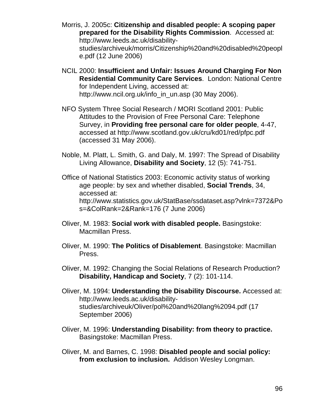- Morris, J. 2005c: **Citizenship and disabled people: A scoping paper prepared for the Disability Rights Commission**. Accessed at: http://www.leeds.ac.uk/disabilitystudies/archiveuk/morris/Citizenship%20and%20disabled%20peopl e.pdf (12 June 2006)
- NCIL 2000: **Insufficient and Unfair: Issues Around Charging For Non Residential Community Care Services**. London: National Centre for Independent Living, accessed at: http://www.ncil.org.uk/info\_in\_un.asp (30 May 2006).
- NFO System Three Social Research / MORI Scotland 2001: Public Attitudes to the Provision of Free Personal Care: Telephone Survey, in **Providing free personal care for older people**, 4-47, accessed at http://www.scotland.gov.uk/cru/kd01/red/pfpc.pdf (accessed 31 May 2006).
- Noble, M. Platt, L. Smith, G. and Daly, M. 1997: The Spread of Disability Living Allowance, **Disability and Society**, 12 (5): 741-751.
- Office of National Statistics 2003: Economic activity status of working age people: by sex and whether disabled, **Social Trends**, 34, accessed at: http://www.statistics.gov.uk/StatBase/ssdataset.asp?vlnk=7372&Po s=&ColRank=2&Rank=176 (7 June 2006)
- Oliver, M. 1983: **Social work with disabled people.** Basingstoke: Macmillan Press.
- Oliver, M. 1990: **The Politics of Disablement**. Basingstoke: Macmillan Press.
- Oliver, M. 1992: Changing the Social Relations of Research Production? **Disability, Handicap and Society**, 7 (2): 101-114.
- Oliver, M. 1994: **Understanding the Disability Discourse.** Accessed at: http://www.leeds.ac.uk/disabilitystudies/archiveuk/Oliver/pol%20and%20lang%2094.pdf (17 September 2006)
- Oliver, M. 1996: **Understanding Disability: from theory to practice.**  Basingstoke: Macmillan Press.
- Oliver, M. and Barnes, C. 1998: **Disabled people and social policy: from exclusion to inclusion.** Addison Wesley Longman.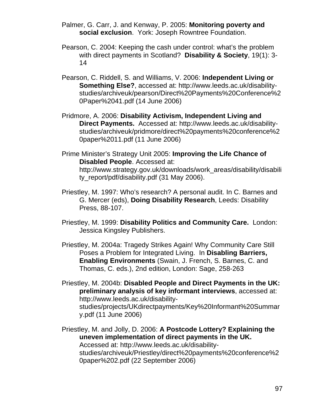Palmer, G. Carr, J. and Kenway, P. 2005: **Monitoring poverty and social exclusion**. York: Joseph Rowntree Foundation.

- Pearson, C. 2004: Keeping the cash under control: what's the problem with direct payments in Scotland? **Disability & Society**, 19(1): 3- 14
- Pearson, C. Riddell, S. and Williams, V. 2006: **Independent Living or Something Else?**, accessed at: http://www.leeds.ac.uk/disabilitystudies/archiveuk/pearson/Direct%20Payments%20Conference%2 0Paper%2041.pdf (14 June 2006)
- Pridmore, A. 2006: **Disability Activism, Independent Living and Direct Payments.** Accessed at: http://www.leeds.ac.uk/disabilitystudies/archiveuk/pridmore/direct%20payments%20conference%2 0paper%2011.pdf (11 June 2006)
- Prime Minister's Strategy Unit 2005: **Improving the Life Chance of Disabled People**. Accessed at: http://www.strategy.gov.uk/downloads/work\_areas/disability/disabili ty\_report/pdf/disability.pdf (31 May 2006).
- Priestley, M. 1997: Who's research? A personal audit. In C. Barnes and G. Mercer (eds), **Doing Disability Research**, Leeds: Disability Press, 88-107.
- Priestley, M. 1999: **Disability Politics and Community Care.** London: Jessica Kingsley Publishers.
- Priestley, M. 2004a: Tragedy Strikes Again! Why Community Care Still Poses a Problem for Integrated Living. In **Disabling Barriers, Enabling Environments** (Swain, J. French, S. Barnes, C. and Thomas, C. eds.), 2nd edition, London: Sage, 258-263
- Priestley, M. 2004b: **Disabled People and Direct Payments in the UK: preliminary analysis of key informant interviews**, accessed at: http://www.leeds.ac.uk/disabilitystudies/projects/UKdirectpayments/Key%20Informant%20Summar y.pdf (11 June 2006)

Priestley, M. and Jolly, D. 2006: **A Postcode Lottery? Explaining the uneven implementation of direct payments in the UK.**  Accessed at: http://www.leeds.ac.uk/disabilitystudies/archiveuk/Priestley/direct%20payments%20conference%2 0paper%202.pdf (22 September 2006)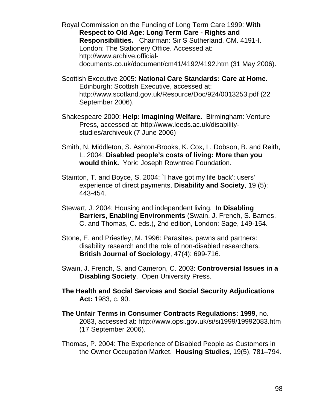Royal Commission on the Funding of Long Term Care 1999: **With Respect to Old Age: Long Term Care - Rights and Responsibilities.** Chairman: Sir S Sutherland, CM. 4191-I. London: The Stationery Office. Accessed at: http://www.archive.officialdocuments.co.uk/document/cm41/4192/4192.htm (31 May 2006).

Scottish Executive 2005: **National Care Standards: Care at Home.**  Edinburgh: Scottish Executive, accessed at: http://www.scotland.gov.uk/Resource/Doc/924/0013253.pdf (22 September 2006).

- Shakespeare 2000: **Help: Imagining Welfare.** Birmingham: Venture Press, accessed at: http://www.leeds.ac.uk/disabilitystudies/archiveuk (7 June 2006)
- Smith, N. Middleton, S. Ashton-Brooks, K. Cox, L. Dobson, B. and Reith, L. 2004: **Disabled people's costs of living: More than you would think.** York: Joseph Rowntree Foundation.
- Stainton, T. and Boyce, S. 2004: `I have got my life back': users' experience of direct payments, **Disability and Society**, 19 (5): 443-454.
- Stewart, J. 2004: Housing and independent living. In **Disabling Barriers, Enabling Environments** (Swain, J. French, S. Barnes, C. and Thomas, C. eds.), 2nd edition, London: Sage, 149-154.
- Stone, E. and Priestley, M. 1996: Parasites, pawns and partners: disability research and the role of non-disabled researchers. **British Journal of Sociology**, 47(4): 699-716.
- Swain, J. French, S. and Cameron, C. 2003: **Controversial Issues in a Disabling Society**. Open University Press.
- **The Health and Social Services and Social Security Adjudications Act:** 1983, c. 90.
- **The Unfair Terms in Consumer Contracts Regulations: 1999**, no. 2083, accessed at: http://www.opsi.gov.uk/si/si1999/19992083.htm (17 September 2006).
- Thomas, P. 2004: The Experience of Disabled People as Customers in the Owner Occupation Market. **Housing Studies**, 19(5), 781–794.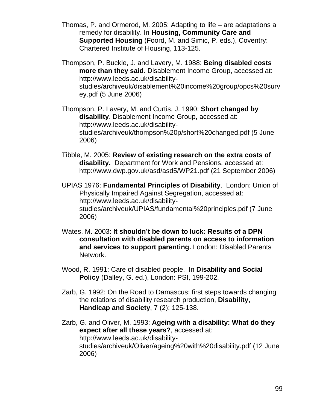- Thomas, P. and Ormerod, M. 2005: Adapting to life are adaptations a remedy for disability. In **Housing, Community Care and Supported Housing** (Foord, M. and Simic, P. eds.), Coventry: Chartered Institute of Housing, 113-125.
- Thompson, P. Buckle, J. and Lavery, M. 1988: **Being disabled costs more than they said**. Disablement Income Group, accessed at: http://www.leeds.ac.uk/disabilitystudies/archiveuk/disablement%20income%20group/opcs%20surv ey.pdf (5 June 2006)

Thompson, P. Lavery, M. and Curtis, J. 1990: **Short changed by disability**. Disablement Income Group, accessed at: http://www.leeds.ac.uk/disabilitystudies/archiveuk/thompson%20p/short%20changed.pdf (5 June 2006)

- Tibble, M. 2005: **Review of existing research on the extra costs of disability.** Department for Work and Pensions, accessed at: http://www.dwp.gov.uk/asd/asd5/WP21.pdf (21 September 2006)
- UPIAS 1976: **Fundamental Principles of Disability**. London: Union of Physically Impaired Against Segregation, accessed at: http://www.leeds.ac.uk/disabilitystudies/archiveuk/UPIAS/fundamental%20principles.pdf (7 June 2006)
- Wates, M. 2003: **It shouldn't be down to luck: Results of a DPN consultation with disabled parents on access to information and services to support parenting.** London: Disabled Parents Network.
- Wood, R. 1991: Care of disabled people. In **Disability and Social Policy** (Dalley, G. ed.), London: PSI, 199-202.
- Zarb, G. 1992: On the Road to Damascus: first steps towards changing the relations of disability research production, **Disability, Handicap and Society**, 7 (2): 125-138.
- Zarb, G. and Oliver, M. 1993: **Ageing with a disability: What do they expect after all these years?**, accessed at: http://www.leeds.ac.uk/disabilitystudies/archiveuk/Oliver/ageing%20with%20disability.pdf (12 June 2006)